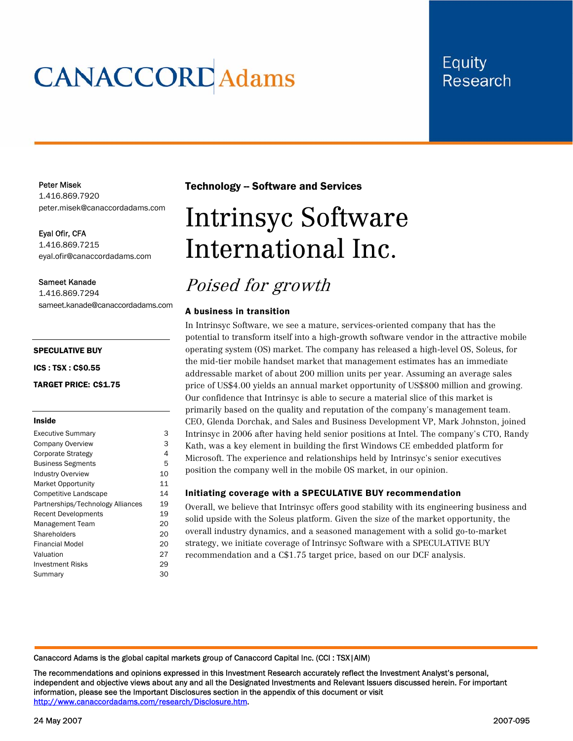# **CANACCORD** Adams

# **Equity Research**

#### Peter Misek

1.416.869.7920 peter.misek@canaccordadams.com

Eyal Ofir, CFA 1.416.869.7215 eyal.ofir@canaccordadams.com

#### Sameet Kanade

1.416.869.7294 sameet.kanade@canaccordadams.com

#### SPECULATIVE BUY

ICS : TSX : C\$0.55

TARGET PRICE: C\$1.75

#### Inside

| <b>Executive Summary</b>          | 3  |
|-----------------------------------|----|
| Company Overview                  | 3  |
| Corporate Strategy                | 4  |
| <b>Business Segments</b>          | 5  |
| <b>Industry Overview</b>          | 10 |
| <b>Market Opportunity</b>         | 11 |
| Competitive Landscape             | 14 |
| Partnerships/Technology Alliances | 19 |
| <b>Recent Developments</b>        | 19 |
| Management Team                   | 20 |
| Shareholders                      | 20 |
| Financial Model                   | 20 |
| Valuation                         | 27 |
| <b>Investment Risks</b>           | 29 |
| Summary                           | 30 |

### **Technology -- Software and Services**

# Intrinsyc Software International Inc.

# Poised for growth

#### A business in transition

In Intrinsyc Software, we see a mature, services-oriented company that has the potential to transform itself into a high-growth software vendor in the attractive mobile operating system (OS) market. The company has released a high-level OS, Soleus, for the mid-tier mobile handset market that management estimates has an immediate addressable market of about 200 million units per year. Assuming an average sales price of US\$4.00 yields an annual market opportunity of US\$800 million and growing. Our confidence that Intrinsyc is able to secure a material slice of this market is primarily based on the quality and reputation of the company's management team. CEO, Glenda Dorchak, and Sales and Business Development VP, Mark Johnston, joined Intrinsyc in 2006 after having held senior positions at Intel. The company's CTO, Randy Kath, was a key element in building the first Windows CE embedded platform for Microsoft. The experience and relationships held by Intrinsyc's senior executives position the company well in the mobile OS market, in our opinion.

#### Initiating coverage with a SPECULATIVE BUY recommendation

Overall, we believe that Intrinsyc offers good stability with its engineering business and solid upside with the Soleus platform. Given the size of the market opportunity, the overall industry dynamics, and a seasoned management with a solid go-to-market strategy, we initiate coverage of Intrinsyc Software with a SPECULATIVE BUY recommendation and a C\$1.75 target price, based on our DCF analysis.

Canaccord Adams is the global capital markets group of Canaccord Capital Inc. (CCI : TSX|AIM)

The recommendations and opinions expressed in this Investment Research accurately reflect the Investment Analyst's personal, independent and objective views about any and all the Designated Investments and Relevant Issuers discussed herein. For important information, please see the Important Disclosures section in the appendix of this document or visit http://www.canaccordadams.com/research/Disclosure.htm.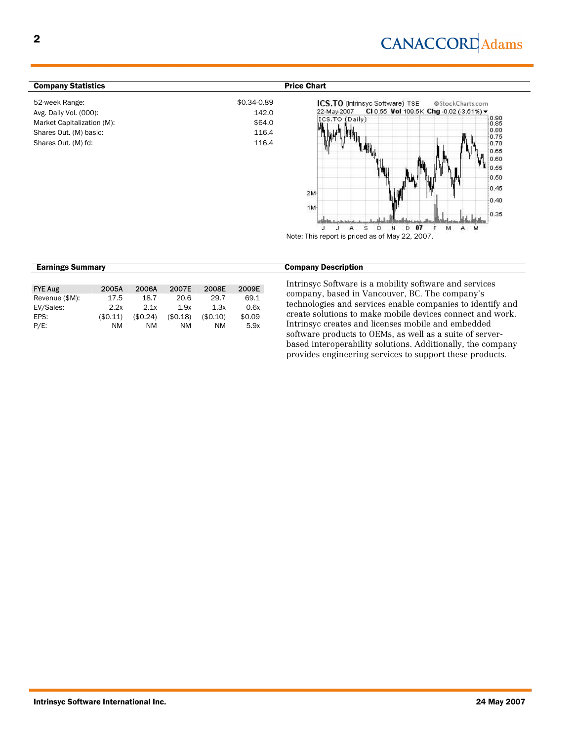# **CANACCORD** Adams

M

| <b>Company Statistics</b>  |             | <b>Price Chart</b>                                                                                            |
|----------------------------|-------------|---------------------------------------------------------------------------------------------------------------|
| 52-week Range:             | \$0.34-0.89 | ICS.TO (Intrinsyc Software) TSE<br>@StockCharts.com<br>CI 0.55 Vol 109.5K Chg -0.02 (-3.51%) ▼<br>22-May-2007 |
| Avg. Daily Vol. (000):     | 142.0       | $\begin{matrix} 0.90 \\ 0.85 \end{matrix}$<br>ICS.TO (Daily)                                                  |
| Market Capitalization (M): | \$64.0      |                                                                                                               |
| Shares Out. (M) basic:     | 116.4       | 0.80<br>$\mathbb{R}^{n}$<br>linik.<br>0.75                                                                    |
| Shares Out. (M) fd:        | 116.4       | $+0.70$<br>$+0.65$<br>0.60<br>$1_{0.55}$<br>يهان<br>0.50<br>₩<br>0.45                                         |
|                            |             | $2M -$<br>$-0.40$                                                                                             |
|                            |             | 1M-<br>$+0.35$<br>11.1.1                                                                                      |

 $\circ$ N D 07 A Note: This report is priced as of May 22, 2007.

s

| <b>FYE Aug</b> | 2005A     | 2006A    | 2007E    | 2008E     | 2009E  |
|----------------|-----------|----------|----------|-----------|--------|
| Revenue (\$M): | 17.5      | 18.7     | 20.6     | 29.7      | 69.1   |
| EV/Sales:      | 2.2x      | 2.1x     | 1.9x     | 1.3x      | 0.6x   |
| EPS:           | (\$0.11)  | (\$0.24) | (\$0.18) | (\$0.10)  | \$0.09 |
| $P/E$ :        | <b>NM</b> | ΝM       | ΝM       | <b>NM</b> | 5.9x   |

| <b>Earnings Summary</b> | <b>Company Description</b> |
|-------------------------|----------------------------|

U J.

Intrinsyc Software is a mobility software and services company, based in Vancouver, BC. The company's technologies and services enable companies to identify and create solutions to make mobile devices connect and work. Intrinsyc creates and licenses mobile and embedded software products to OEMs, as well as a suite of serverbased interoperability solutions. Additionally, the company provides engineering services to support these products.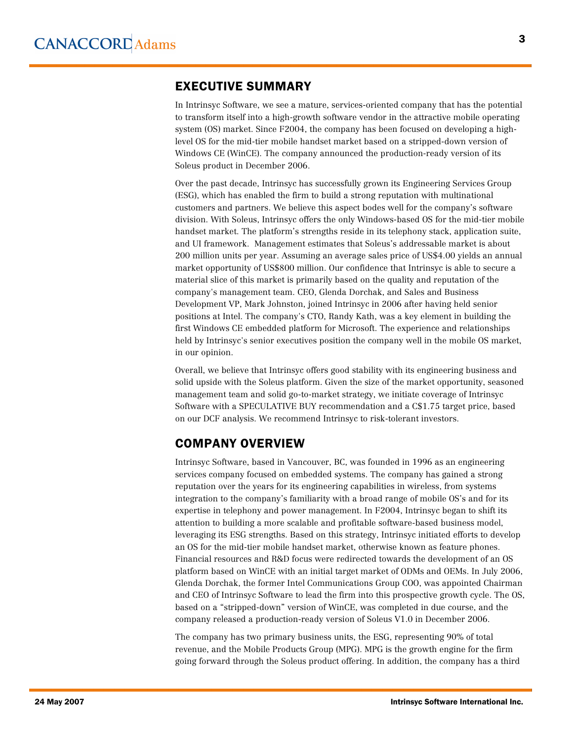# EXECUTIVE SUMMARY

In Intrinsyc Software, we see a mature, services-oriented company that has the potential to transform itself into a high-growth software vendor in the attractive mobile operating system (OS) market. Since F2004, the company has been focused on developing a highlevel OS for the mid-tier mobile handset market based on a stripped-down version of Windows CE (WinCE). The company announced the production-ready version of its Soleus product in December 2006.

Over the past decade, Intrinsyc has successfully grown its Engineering Services Group (ESG), which has enabled the firm to build a strong reputation with multinational customers and partners. We believe this aspect bodes well for the company's software division. With Soleus, Intrinsyc offers the only Windows-based OS for the mid-tier mobile handset market. The platform's strengths reside in its telephony stack, application suite, and UI framework. Management estimates that Soleus's addressable market is about 200 million units per year. Assuming an average sales price of US\$4.00 yields an annual market opportunity of US\$800 million. Our confidence that Intrinsyc is able to secure a material slice of this market is primarily based on the quality and reputation of the company's management team. CEO, Glenda Dorchak, and Sales and Business Development VP, Mark Johnston, joined Intrinsyc in 2006 after having held senior positions at Intel. The company's CTO, Randy Kath, was a key element in building the first Windows CE embedded platform for Microsoft. The experience and relationships held by Intrinsyc's senior executives position the company well in the mobile OS market, in our opinion.

Overall, we believe that Intrinsyc offers good stability with its engineering business and solid upside with the Soleus platform. Given the size of the market opportunity, seasoned management team and solid go-to-market strategy, we initiate coverage of Intrinsyc Software with a SPECULATIVE BUY recommendation and a C\$1.75 target price, based on our DCF analysis. We recommend Intrinsyc to risk-tolerant investors.

# COMPANY OVERVIEW

Intrinsyc Software, based in Vancouver, BC, was founded in 1996 as an engineering services company focused on embedded systems. The company has gained a strong reputation over the years for its engineering capabilities in wireless, from systems integration to the company's familiarity with a broad range of mobile OS's and for its expertise in telephony and power management. In F2004, Intrinsyc began to shift its attention to building a more scalable and profitable software-based business model, leveraging its ESG strengths. Based on this strategy, Intrinsyc initiated efforts to develop an OS for the mid-tier mobile handset market, otherwise known as feature phones. Financial resources and R&D focus were redirected towards the development of an OS platform based on WinCE with an initial target market of ODMs and OEMs. In July 2006, Glenda Dorchak, the former Intel Communications Group COO, was appointed Chairman and CEO of Intrinsyc Software to lead the firm into this prospective growth cycle. The OS, based on a "stripped-down" version of WinCE, was completed in due course, and the company released a production-ready version of Soleus V1.0 in December 2006.

The company has two primary business units, the ESG, representing 90% of total revenue, and the Mobile Products Group (MPG). MPG is the growth engine for the firm going forward through the Soleus product offering. In addition, the company has a third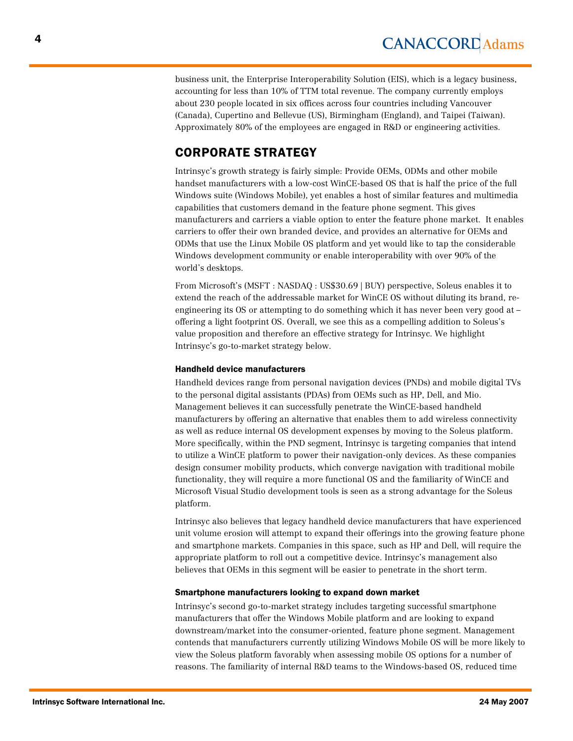business unit, the Enterprise Interoperability Solution (EIS), which is a legacy business, accounting for less than 10% of TTM total revenue. The company currently employs about 230 people located in six offices across four countries including Vancouver (Canada), Cupertino and Bellevue (US), Birmingham (England), and Taipei (Taiwan). Approximately 80% of the employees are engaged in R&D or engineering activities.

# CORPORATE STRATEGY

Intrinsyc's growth strategy is fairly simple: Provide OEMs, ODMs and other mobile handset manufacturers with a low-cost WinCE-based OS that is half the price of the full Windows suite (Windows Mobile), yet enables a host of similar features and multimedia capabilities that customers demand in the feature phone segment. This gives manufacturers and carriers a viable option to enter the feature phone market. It enables carriers to offer their own branded device, and provides an alternative for OEMs and ODMs that use the Linux Mobile OS platform and yet would like to tap the considerable Windows development community or enable interoperability with over 90% of the world's desktops.

From Microsoft's (MSFT : NASDAQ : US\$30.69 | BUY) perspective, Soleus enables it to extend the reach of the addressable market for WinCE OS without diluting its brand, reengineering its OS or attempting to do something which it has never been very good at – offering a light footprint OS. Overall, we see this as a compelling addition to Soleus's value proposition and therefore an effective strategy for Intrinsyc. We highlight Intrinsyc's go-to-market strategy below.

#### Handheld device manufacturers

Handheld devices range from personal navigation devices (PNDs) and mobile digital TVs to the personal digital assistants (PDAs) from OEMs such as HP, Dell, and Mio. Management believes it can successfully penetrate the WinCE-based handheld manufacturers by offering an alternative that enables them to add wireless connectivity as well as reduce internal OS development expenses by moving to the Soleus platform. More specifically, within the PND segment, Intrinsyc is targeting companies that intend to utilize a WinCE platform to power their navigation-only devices. As these companies design consumer mobility products, which converge navigation with traditional mobile functionality, they will require a more functional OS and the familiarity of WinCE and Microsoft Visual Studio development tools is seen as a strong advantage for the Soleus platform.

Intrinsyc also believes that legacy handheld device manufacturers that have experienced unit volume erosion will attempt to expand their offerings into the growing feature phone and smartphone markets. Companies in this space, such as HP and Dell, will require the appropriate platform to roll out a competitive device. Intrinsyc's management also believes that OEMs in this segment will be easier to penetrate in the short term.

#### Smartphone manufacturers looking to expand down market

Intrinsyc's second go-to-market strategy includes targeting successful smartphone manufacturers that offer the Windows Mobile platform and are looking to expand downstream/market into the consumer-oriented, feature phone segment. Management contends that manufacturers currently utilizing Windows Mobile OS will be more likely to view the Soleus platform favorably when assessing mobile OS options for a number of reasons. The familiarity of internal R&D teams to the Windows-based OS, reduced time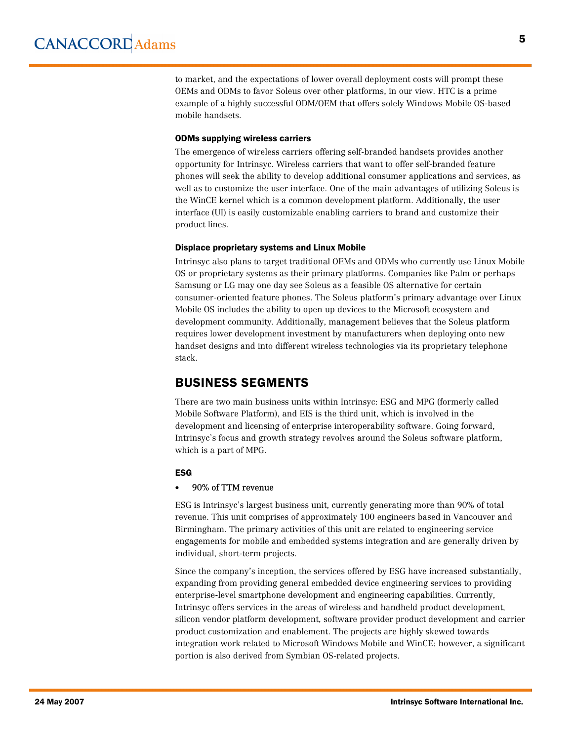to market, and the expectations of lower overall deployment costs will prompt these OEMs and ODMs to favor Soleus over other platforms, in our view. HTC is a prime example of a highly successful ODM/OEM that offers solely Windows Mobile OS-based mobile handsets.

#### ODMs supplying wireless carriers

The emergence of wireless carriers offering self-branded handsets provides another opportunity for Intrinsyc. Wireless carriers that want to offer self-branded feature phones will seek the ability to develop additional consumer applications and services, as well as to customize the user interface. One of the main advantages of utilizing Soleus is the WinCE kernel which is a common development platform. Additionally, the user interface (UI) is easily customizable enabling carriers to brand and customize their product lines.

#### Displace proprietary systems and Linux Mobile

Intrinsyc also plans to target traditional OEMs and ODMs who currently use Linux Mobile OS or proprietary systems as their primary platforms. Companies like Palm or perhaps Samsung or LG may one day see Soleus as a feasible OS alternative for certain consumer-oriented feature phones. The Soleus platform's primary advantage over Linux Mobile OS includes the ability to open up devices to the Microsoft ecosystem and development community. Additionally, management believes that the Soleus platform requires lower development investment by manufacturers when deploying onto new handset designs and into different wireless technologies via its proprietary telephone stack.

# BUSINESS SEGMENTS

There are two main business units within Intrinsyc: ESG and MPG (formerly called Mobile Software Platform), and EIS is the third unit, which is involved in the development and licensing of enterprise interoperability software. Going forward, Intrinsyc's focus and growth strategy revolves around the Soleus software platform, which is a part of MPG.

#### ESG

#### · 90% of TTM revenue

ESG is Intrinsyc's largest business unit, currently generating more than 90% of total revenue. This unit comprises of approximately 100 engineers based in Vancouver and Birmingham. The primary activities of this unit are related to engineering service engagements for mobile and embedded systems integration and are generally driven by individual, short-term projects.

Since the company's inception, the services offered by ESG have increased substantially, expanding from providing general embedded device engineering services to providing enterprise-level smartphone development and engineering capabilities. Currently, Intrinsyc offers services in the areas of wireless and handheld product development, silicon vendor platform development, software provider product development and carrier product customization and enablement. The projects are highly skewed towards integration work related to Microsoft Windows Mobile and WinCE; however, a significant portion is also derived from Symbian OS-related projects.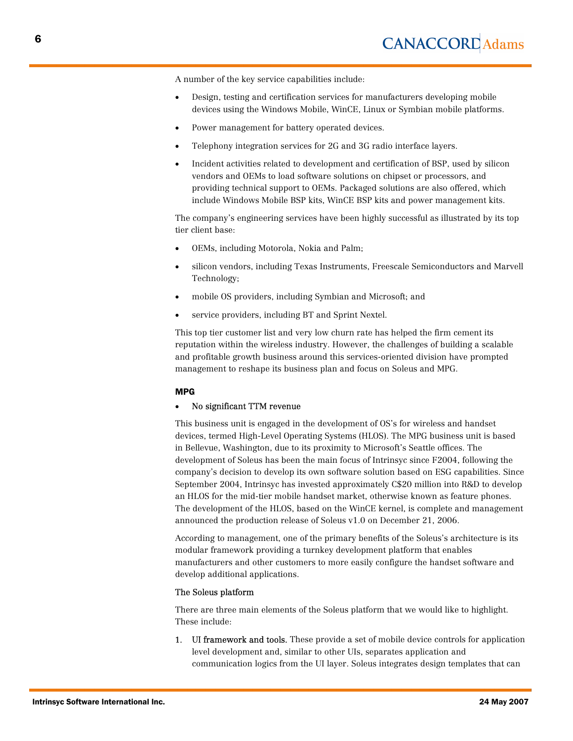A number of the key service capabilities include:

- Design, testing and certification services for manufacturers developing mobile devices using the Windows Mobile, WinCE, Linux or Symbian mobile platforms.
- Power management for battery operated devices.
- · Telephony integration services for 2G and 3G radio interface layers.
- · Incident activities related to development and certification of BSP, used by silicon vendors and OEMs to load software solutions on chipset or processors, and providing technical support to OEMs. Packaged solutions are also offered, which include Windows Mobile BSP kits, WinCE BSP kits and power management kits.

The company's engineering services have been highly successful as illustrated by its top tier client base:

- OEMs, including Motorola, Nokia and Palm;
- · silicon vendors, including Texas Instruments, Freescale Semiconductors and Marvell Technology;
- mobile OS providers, including Symbian and Microsoft; and
- service providers, including BT and Sprint Nextel.

This top tier customer list and very low churn rate has helped the firm cement its reputation within the wireless industry. However, the challenges of building a scalable and profitable growth business around this services-oriented division have prompted management to reshape its business plan and focus on Soleus and MPG.

#### MPG

#### · No significant TTM revenue

This business unit is engaged in the development of OS's for wireless and handset devices, termed High-Level Operating Systems (HLOS). The MPG business unit is based in Bellevue, Washington, due to its proximity to Microsoft's Seattle offices. The development of Soleus has been the main focus of Intrinsyc since F2004, following the company's decision to develop its own software solution based on ESG capabilities. Since September 2004, Intrinsyc has invested approximately C\$20 million into R&D to develop an HLOS for the mid-tier mobile handset market, otherwise known as feature phones. The development of the HLOS, based on the WinCE kernel, is complete and management announced the production release of Soleus v1.0 on December 21, 2006.

According to management, one of the primary benefits of the Soleus's architecture is its modular framework providing a turnkey development platform that enables manufacturers and other customers to more easily configure the handset software and develop additional applications.

#### The Soleus platform

There are three main elements of the Soleus platform that we would like to highlight. These include:

1. UI framework and tools. These provide a set of mobile device controls for application level development and, similar to other UIs, separates application and communication logics from the UI layer. Soleus integrates design templates that can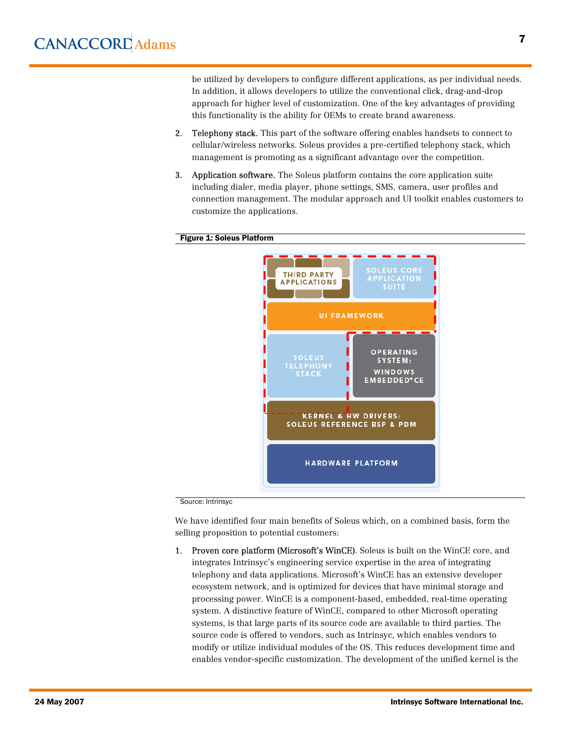be utilized by developers to configure different applications, as per individual needs. In addition, it allows developers to utilize the conventional click, drag-and-drop approach for higher level of customization. One of the key advantages of providing this functionality is the ability for OEMs to create brand awareness.

- 2. Telephony stack. This part of the software offering enables handsets to connect to cellular/wireless networks. Soleus provides a pre-certified telephony stack, which management is promoting as a significant advantage over the competition.
- 3. Application software. The Soleus platform contains the core application suite including dialer, media player, phone settings, SMS, camera, user profiles and connection management. The modular approach and UI toolkit enables customers to customize the applications.

#### Figure 1: Soleus Platform



Source: Intrinsyc

We have identified four main benefits of Soleus which, on a combined basis, form the selling proposition to potential customers:

1. Proven core platform (Microsoft's WinCE). Soleus is built on the WinCE core, and integrates Intrinsyc's engineering service expertise in the area of integrating telephony and data applications. Microsoft's WinCE has an extensive developer ecosystem network, and is optimized for devices that have minimal storage and processing power. WinCE is a component-based, embedded, real-time operating system. A distinctive feature of WinCE, compared to other Microsoft operating systems, is that large parts of its source code are available to third parties. The source code is offered to vendors, such as Intrinsyc, which enables vendors to modify or utilize individual modules of the OS. This reduces development time and enables vendor-specific customization. The development of the unified kernel is the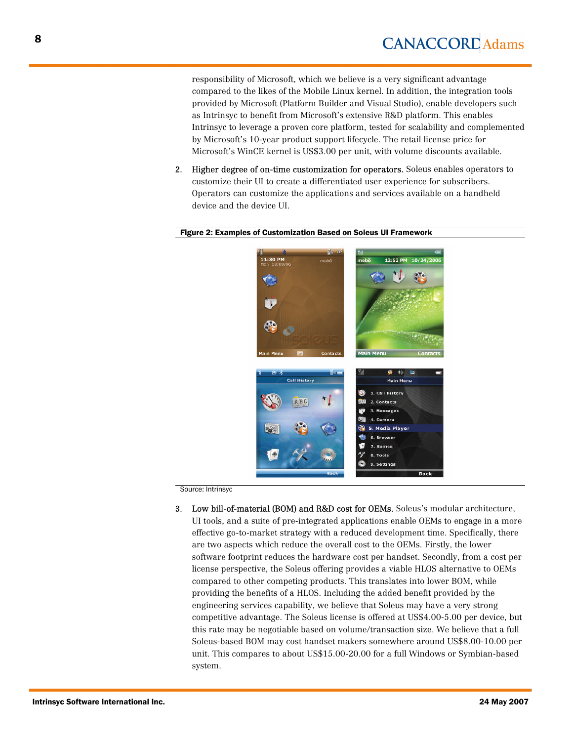responsibility of Microsoft, which we believe is a very significant advantage compared to the likes of the Mobile Linux kernel. In addition, the integration tools provided by Microsoft (Platform Builder and Visual Studio), enable developers such as Intrinsyc to benefit from Microsoft's extensive R&D platform. This enables Intrinsyc to leverage a proven core platform, tested for scalability and complemented by Microsoft's 10-year product support lifecycle. The retail license price for Microsoft's WinCE kernel is US\$3.00 per unit, with volume discounts available.

2. Higher degree of on-time customization for operators. Soleus enables operators to customize their UI to create a differentiated user experience for subscribers. Operators can customize the applications and services available on a handheld device and the device UI.



#### Figure 2: Examples of Customization Based on Soleus UI Framework

Source: Intrinsyc

3. Low bill-of-material (BOM) and R&D cost for OEMs. Soleus's modular architecture, UI tools, and a suite of pre-integrated applications enable OEMs to engage in a more effective go-to-market strategy with a reduced development time. Specifically, there are two aspects which reduce the overall cost to the OEMs. Firstly, the lower software footprint reduces the hardware cost per handset. Secondly, from a cost per license perspective, the Soleus offering provides a viable HLOS alternative to OEMs compared to other competing products. This translates into lower BOM, while providing the benefits of a HLOS. Including the added benefit provided by the engineering services capability, we believe that Soleus may have a very strong competitive advantage. The Soleus license is offered at US\$4.00-5.00 per device, but this rate may be negotiable based on volume/transaction size. We believe that a full Soleus-based BOM may cost handset makers somewhere around US\$8.00-10.00 per unit. This compares to about US\$15.00-20.00 for a full Windows or Symbian-based system.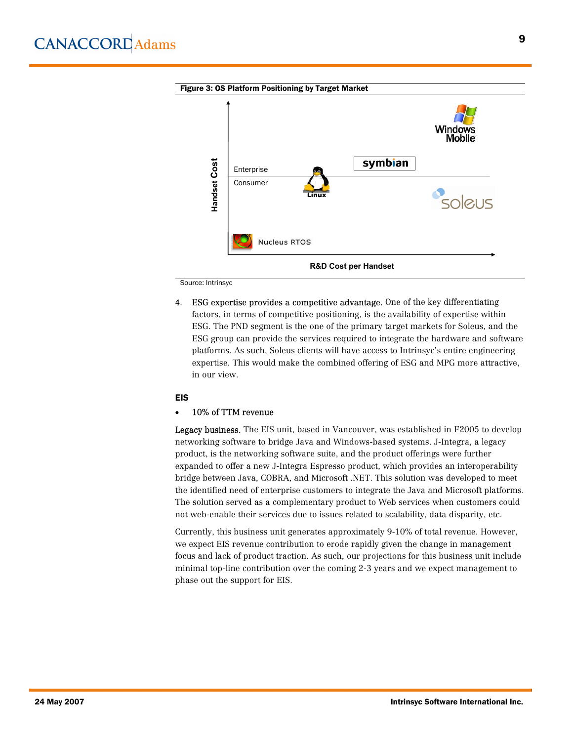

Source: Intrinsyc

4. ESG expertise provides a competitive advantage. One of the key differentiating factors, in terms of competitive positioning, is the availability of expertise within ESG. The PND segment is the one of the primary target markets for Soleus, and the ESG group can provide the services required to integrate the hardware and software platforms. As such, Soleus clients will have access to Intrinsyc's entire engineering expertise. This would make the combined offering of ESG and MPG more attractive, in our view.

#### EIS

#### · 10% of TTM revenue

Legacy business. The EIS unit, based in Vancouver, was established in F2005 to develop networking software to bridge Java and Windows-based systems. J-Integra, a legacy product, is the networking software suite, and the product offerings were further expanded to offer a new J-Integra Espresso product, which provides an interoperability bridge between Java, COBRA, and Microsoft .NET. This solution was developed to meet the identified need of enterprise customers to integrate the Java and Microsoft platforms. The solution served as a complementary product to Web services when customers could not web-enable their services due to issues related to scalability, data disparity, etc.

Currently, this business unit generates approximately 9-10% of total revenue. However, we expect EIS revenue contribution to erode rapidly given the change in management focus and lack of product traction. As such, our projections for this business unit include minimal top-line contribution over the coming 2-3 years and we expect management to phase out the support for EIS.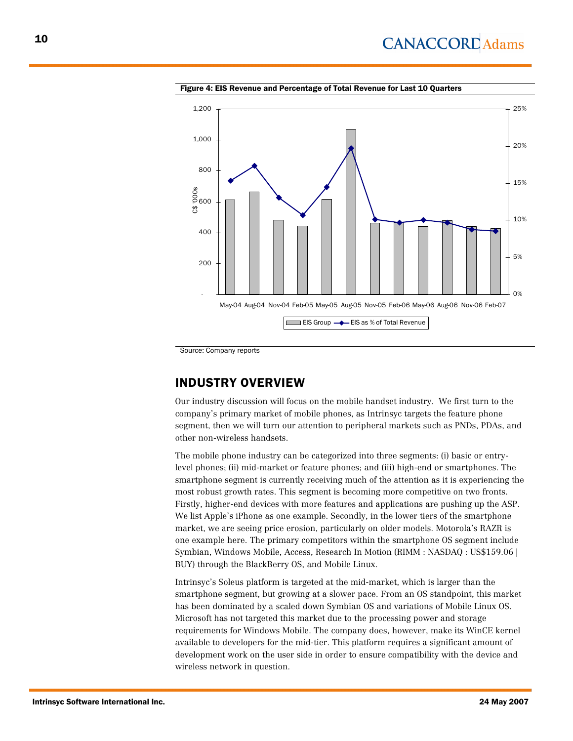

Figure 4: EIS Revenue and Percentage of Total Revenue for Last 10 Quarters

Source: Company reports

# INDUSTRY OVERVIEW

Our industry discussion will focus on the mobile handset industry. We first turn to the company's primary market of mobile phones, as Intrinsyc targets the feature phone segment, then we will turn our attention to peripheral markets such as PNDs, PDAs, and other non-wireless handsets.

The mobile phone industry can be categorized into three segments: (i) basic or entrylevel phones; (ii) mid-market or feature phones; and (iii) high-end or smartphones. The smartphone segment is currently receiving much of the attention as it is experiencing the most robust growth rates. This segment is becoming more competitive on two fronts. Firstly, higher-end devices with more features and applications are pushing up the ASP. We list Apple's iPhone as one example. Secondly, in the lower tiers of the smartphone market, we are seeing price erosion, particularly on older models. Motorola's RAZR is one example here. The primary competitors within the smartphone OS segment include Symbian, Windows Mobile, Access, Research In Motion (RIMM : NASDAQ : US\$159.06 | BUY) through the BlackBerry OS, and Mobile Linux.

Intrinsyc's Soleus platform is targeted at the mid-market, which is larger than the smartphone segment, but growing at a slower pace. From an OS standpoint, this market has been dominated by a scaled down Symbian OS and variations of Mobile Linux OS. Microsoft has not targeted this market due to the processing power and storage requirements for Windows Mobile. The company does, however, make its WinCE kernel available to developers for the mid-tier. This platform requires a significant amount of development work on the user side in order to ensure compatibility with the device and wireless network in question.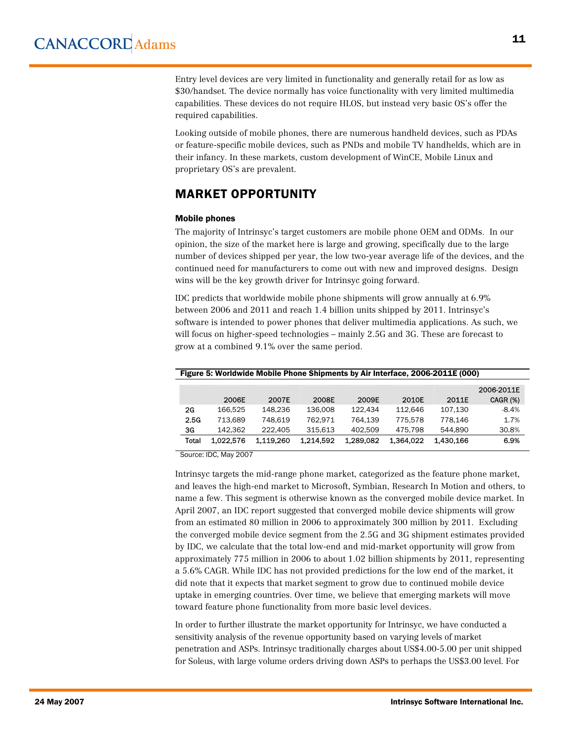Entry level devices are very limited in functionality and generally retail for as low as \$30/handset. The device normally has voice functionality with very limited multimedia capabilities. These devices do not require HLOS, but instead very basic OS's offer the required capabilities.

Looking outside of mobile phones, there are numerous handheld devices, such as PDAs or feature-specific mobile devices, such as PNDs and mobile TV handhelds, which are in their infancy. In these markets, custom development of WinCE, Mobile Linux and proprietary OS's are prevalent.

# MARKET OPPORTUNITY

#### Mobile phones

The majority of Intrinsyc's target customers are mobile phone OEM and ODMs. In our opinion, the size of the market here is large and growing, specifically due to the large number of devices shipped per year, the low two-year average life of the devices, and the continued need for manufacturers to come out with new and improved designs. Design wins will be the key growth driver for Intrinsyc going forward.

IDC predicts that worldwide mobile phone shipments will grow annually at 6.9% between 2006 and 2011 and reach 1.4 billion units shipped by 2011. Intrinsyc's software is intended to power phones that deliver multimedia applications. As such, we will focus on higher-speed technologies – mainly 2.5G and 3G. These are forecast to grow at a combined 9.1% over the same period.

| Figure 5: Worldwide Mobile Phone Shipments by Air Interface, 2006-2011E (000) |           |           |           |           |           |           |                 |  |  |  |
|-------------------------------------------------------------------------------|-----------|-----------|-----------|-----------|-----------|-----------|-----------------|--|--|--|
|                                                                               |           |           |           |           |           |           | 2006-2011E      |  |  |  |
|                                                                               | 2006E     | 2007E     | 2008E     | 2009E     | 2010E     | 2011E     | <b>CAGR (%)</b> |  |  |  |
| 2G                                                                            | 166.525   | 148.236   | 136,008   | 122.434   | 112.646   | 107.130   | $-8.4%$         |  |  |  |
| 2.5G                                                                          | 713.689   | 748.619   | 762.971   | 764.139   | 775.578   | 778.146   | 1.7%            |  |  |  |
| 3G                                                                            | 142.362   | 222.405   | 315.613   | 402.509   | 475.798   | 544.890   | 30.8%           |  |  |  |
| Total                                                                         | 1.022.576 | 1.119.260 | 1.214.592 | 1.289.082 | 1.364.022 | 1.430.166 | 6.9%            |  |  |  |

Source: IDC, May 2007

Intrinsyc targets the mid-range phone market, categorized as the feature phone market, and leaves the high-end market to Microsoft, Symbian, Research In Motion and others, to name a few. This segment is otherwise known as the converged mobile device market. In April 2007, an IDC report suggested that converged mobile device shipments will grow from an estimated 80 million in 2006 to approximately 300 million by 2011. Excluding the converged mobile device segment from the 2.5G and 3G shipment estimates provided by IDC, we calculate that the total low-end and mid-market opportunity will grow from approximately 775 million in 2006 to about 1.02 billion shipments by 2011, representing a 5.6% CAGR. While IDC has not provided predictions for the low end of the market, it did note that it expects that market segment to grow due to continued mobile device uptake in emerging countries. Over time, we believe that emerging markets will move toward feature phone functionality from more basic level devices.

In order to further illustrate the market opportunity for Intrinsyc, we have conducted a sensitivity analysis of the revenue opportunity based on varying levels of market penetration and ASPs. Intrinsyc traditionally charges about US\$4.00-5.00 per unit shipped for Soleus, with large volume orders driving down ASPs to perhaps the US\$3.00 level. For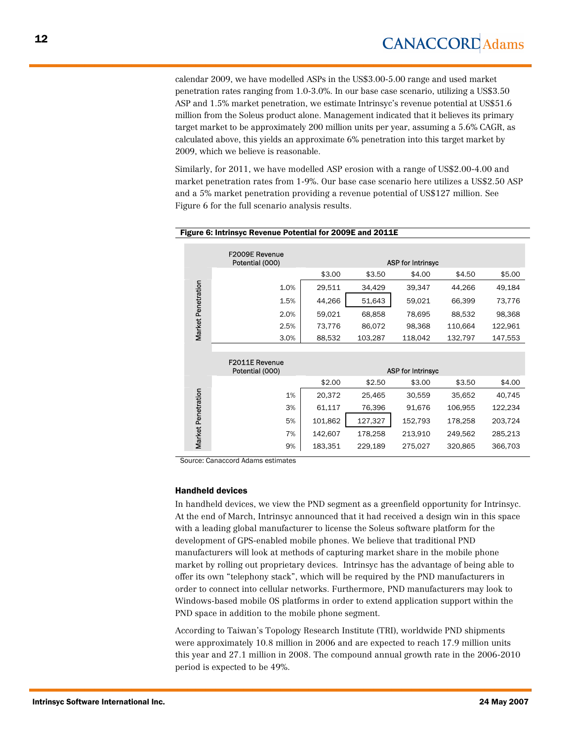calendar 2009, we have modelled ASPs in the US\$3.00-5.00 range and used market penetration rates ranging from 1.0-3.0%. In our base case scenario, utilizing a US\$3.50 ASP and 1.5% market penetration, we estimate Intrinsyc's revenue potential at US\$51.6 million from the Soleus product alone. Management indicated that it believes its primary target market to be approximately 200 million units per year, assuming a 5.6% CAGR, as calculated above, this yields an approximate 6% penetration into this target market by 2009, which we believe is reasonable.

Similarly, for 2011, we have modelled ASP erosion with a range of US\$2.00-4.00 and market penetration rates from 1-9%. Our base case scenario here utilizes a US\$2.50 ASP and a 5% market penetration providing a revenue potential of US\$127 million. See Figure 6 for the full scenario analysis results.

|                    | <b>F2009E Revenue</b><br>Potential (000) |         |         | <b>ASP for Intrinsyc</b> |         |         |
|--------------------|------------------------------------------|---------|---------|--------------------------|---------|---------|
|                    |                                          | \$3.00  | \$3.50  | \$4.00                   | \$4.50  | \$5.00  |
| Market Penetration | 1.0%                                     | 29,511  | 34,429  | 39,347                   | 44,266  | 49,184  |
|                    | 1.5%                                     | 44,266  | 51,643  | 59,021                   | 66,399  | 73,776  |
|                    | 2.0%                                     | 59,021  | 68,858  | 78,695                   | 88,532  | 98,368  |
|                    | 2.5%                                     | 73,776  | 86,072  | 98,368                   | 110,664 | 122,961 |
|                    | 3.0%                                     | 88,532  | 103,287 | 118,042                  | 132,797 | 147,553 |
|                    |                                          |         |         |                          |         |         |
|                    | <b>F2011E Revenue</b><br>Potential (000) |         |         | <b>ASP for Intrinsyc</b> |         |         |
|                    |                                          | \$2.00  | \$2.50  | \$3.00                   | \$3.50  | \$4.00  |
|                    | 1%                                       | 20,372  | 25,465  | 30,559                   | 35,652  | 40,745  |
|                    | 3%                                       | 61,117  | 76,396  | 91,676                   | 106,955 | 122,234 |
| Market Penetration | 5%                                       | 101,862 | 127,327 | 152,793                  | 178,258 | 203,724 |
|                    | 7%                                       | 142,607 | 178,258 | 213,910                  | 249,562 | 285,213 |
|                    |                                          |         |         |                          |         |         |

#### Figure 6: Intrinsyc Revenue Potential for 2009E and 2011E

Source: Canaccord Adams estimates

#### Handheld devices

In handheld devices, we view the PND segment as a greenfield opportunity for Intrinsyc. At the end of March, Intrinsyc announced that it had received a design win in this space with a leading global manufacturer to license the Soleus software platform for the development of GPS-enabled mobile phones. We believe that traditional PND manufacturers will look at methods of capturing market share in the mobile phone market by rolling out proprietary devices. Intrinsyc has the advantage of being able to offer its own "telephony stack", which will be required by the PND manufacturers in order to connect into cellular networks. Furthermore, PND manufacturers may look to Windows-based mobile OS platforms in order to extend application support within the PND space in addition to the mobile phone segment.

According to Taiwan's Topology Research Institute (TRI), worldwide PND shipments were approximately 10.8 million in 2006 and are expected to reach 17.9 million units this year and 27.1 million in 2008. The compound annual growth rate in the 2006-2010 period is expected to be 49%.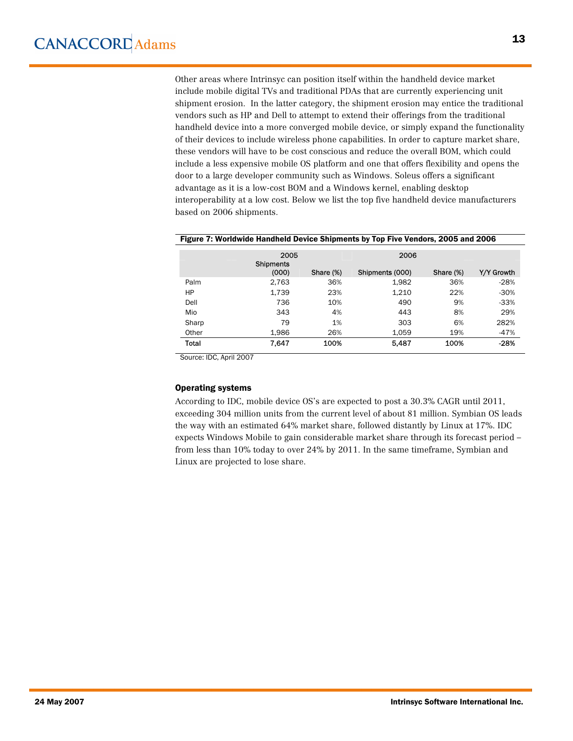Other areas where Intrinsyc can position itself within the handheld device market include mobile digital TVs and traditional PDAs that are currently experiencing unit shipment erosion. In the latter category, the shipment erosion may entice the traditional vendors such as HP and Dell to attempt to extend their offerings from the traditional handheld device into a more converged mobile device, or simply expand the functionality of their devices to include wireless phone capabilities. In order to capture market share, these vendors will have to be cost conscious and reduce the overall BOM, which could include a less expensive mobile OS platform and one that offers flexibility and opens the door to a large developer community such as Windows. Soleus offers a significant advantage as it is a low-cost BOM and a Windows kernel, enabling desktop interoperability at a low cost. Below we list the top five handheld device manufacturers based on 2006 shipments.

|       | 2005<br><b>Shipments</b> |           | 2006            |           |            |
|-------|--------------------------|-----------|-----------------|-----------|------------|
|       | (000)                    | Share (%) | Shipments (000) | Share (%) | Y/Y Growth |
| Palm  | 2,763                    | 36%       | 1,982           | 36%       | $-28%$     |
| HP    | 1,739                    | 23%       | 1,210           | 22%       | $-30%$     |
| Dell  | 736                      | 10%       | 490             | 9%        | $-33%$     |
| Mio   | 343                      | 4%        | 443             | 8%        | 29%        |
| Sharp | 79                       | 1%        | 303             | 6%        | 282%       |
| Other | 1,986                    | 26%       | 1.059           | 19%       | $-47%$     |
| Total | 7.647                    | 100%      | 5,487           | 100%      | $-28%$     |

#### Figure 7: Worldwide Handheld Device Shipments by Top Five Vendors, 2005 and 2006

Source: IDC, April 2007

#### Operating systems

According to IDC, mobile device OS's are expected to post a 30.3% CAGR until 2011, exceeding 304 million units from the current level of about 81 million. Symbian OS leads the way with an estimated 64% market share, followed distantly by Linux at 17%. IDC expects Windows Mobile to gain considerable market share through its forecast period – from less than 10% today to over 24% by 2011. In the same timeframe, Symbian and Linux are projected to lose share.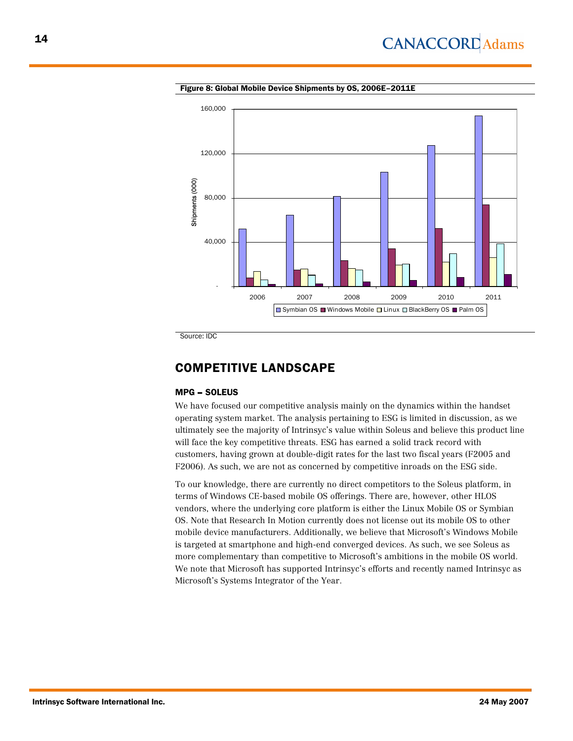![](_page_13_Figure_1.jpeg)

Figure 8: Global Mobile Device Shipments by OS, 2006E–2011E

Source: IDC

### COMPETITIVE LANDSCAPE

#### MPG – SOLEUS

We have focused our competitive analysis mainly on the dynamics within the handset operating system market. The analysis pertaining to ESG is limited in discussion, as we ultimately see the majority of Intrinsyc's value within Soleus and believe this product line will face the key competitive threats. ESG has earned a solid track record with customers, having grown at double-digit rates for the last two fiscal years (F2005 and F2006). As such, we are not as concerned by competitive inroads on the ESG side.

To our knowledge, there are currently no direct competitors to the Soleus platform, in terms of Windows CE-based mobile OS offerings. There are, however, other HLOS vendors, where the underlying core platform is either the Linux Mobile OS or Symbian OS. Note that Research In Motion currently does not license out its mobile OS to other mobile device manufacturers. Additionally, we believe that Microsoft's Windows Mobile is targeted at smartphone and high-end converged devices. As such, we see Soleus as more complementary than competitive to Microsoft's ambitions in the mobile OS world. We note that Microsoft has supported Intrinsyc's efforts and recently named Intrinsyc as Microsoft's Systems Integrator of the Year.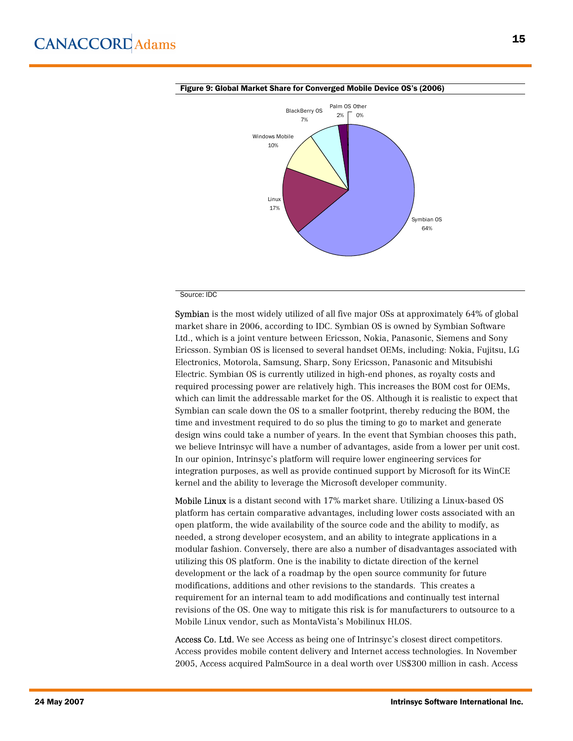![](_page_14_Figure_1.jpeg)

#### Figure 9: Global Market Share for Converged Mobile Device OS's (2006)

#### Source: IDC

Symbian is the most widely utilized of all five major OSs at approximately 64% of global market share in 2006, according to IDC. Symbian OS is owned by Symbian Software Ltd., which is a joint venture between Ericsson, Nokia, Panasonic, Siemens and Sony Ericsson. Symbian OS is licensed to several handset OEMs, including: Nokia, Fujitsu, LG Electronics, Motorola, Samsung, Sharp, Sony Ericsson, Panasonic and Mitsubishi Electric. Symbian OS is currently utilized in high-end phones, as royalty costs and required processing power are relatively high. This increases the BOM cost for OEMs, which can limit the addressable market for the OS. Although it is realistic to expect that Symbian can scale down the OS to a smaller footprint, thereby reducing the BOM, the time and investment required to do so plus the timing to go to market and generate design wins could take a number of years. In the event that Symbian chooses this path, we believe Intrinsyc will have a number of advantages, aside from a lower per unit cost. In our opinion, Intrinsyc's platform will require lower engineering services for integration purposes, as well as provide continued support by Microsoft for its WinCE kernel and the ability to leverage the Microsoft developer community.

Mobile Linux is a distant second with 17% market share. Utilizing a Linux-based OS platform has certain comparative advantages, including lower costs associated with an open platform, the wide availability of the source code and the ability to modify, as needed, a strong developer ecosystem, and an ability to integrate applications in a modular fashion. Conversely, there are also a number of disadvantages associated with utilizing this OS platform. One is the inability to dictate direction of the kernel development or the lack of a roadmap by the open source community for future modifications, additions and other revisions to the standards. This creates a requirement for an internal team to add modifications and continually test internal revisions of the OS. One way to mitigate this risk is for manufacturers to outsource to a Mobile Linux vendor, such as MontaVista's Mobilinux HLOS.

Access Co. Ltd. We see Access as being one of Intrinsyc's closest direct competitors. Access provides mobile content delivery and Internet access technologies. In November 2005, Access acquired PalmSource in a deal worth over US\$300 million in cash. Access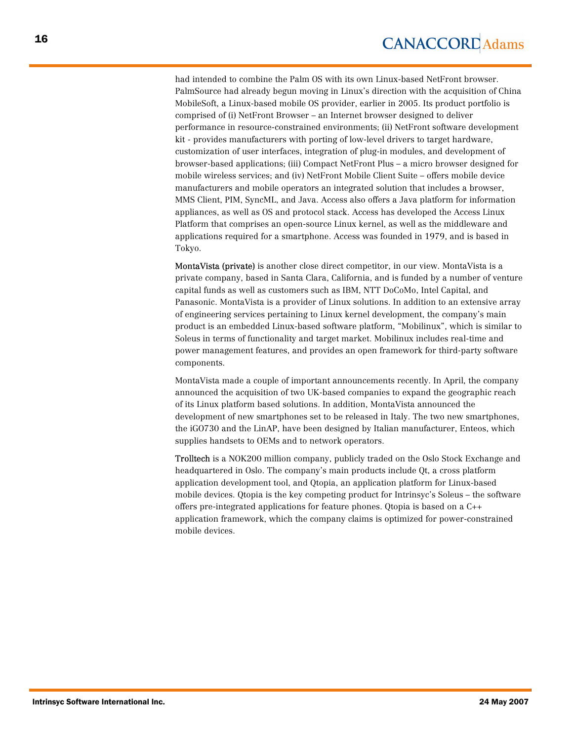had intended to combine the Palm OS with its own Linux-based NetFront browser. PalmSource had already begun moving in Linux's direction with the acquisition of China MobileSoft, a Linux-based mobile OS provider, earlier in 2005. Its product portfolio is comprised of (i) NetFront Browser – an Internet browser designed to deliver performance in resource-constrained environments; (ii) NetFront software development kit - provides manufacturers with porting of low-level drivers to target hardware, customization of user interfaces, integration of plug-in modules, and development of browser-based applications; (iii) Compact NetFront Plus – a micro browser designed for mobile wireless services; and (iv) NetFront Mobile Client Suite – offers mobile device manufacturers and mobile operators an integrated solution that includes a browser, MMS Client, PIM, SyncML, and Java. Access also offers a Java platform for information appliances, as well as OS and protocol stack. Access has developed the Access Linux Platform that comprises an open-source Linux kernel, as well as the middleware and applications required for a smartphone. Access was founded in 1979, and is based in Tokyo.

MontaVista (private) is another close direct competitor, in our view. MontaVista is a private company, based in Santa Clara, California, and is funded by a number of venture capital funds as well as customers such as IBM, NTT DoCoMo, Intel Capital, and Panasonic. MontaVista is a provider of Linux solutions. In addition to an extensive array of engineering services pertaining to Linux kernel development, the company's main product is an embedded Linux-based software platform, "Mobilinux", which is similar to Soleus in terms of functionality and target market. Mobilinux includes real-time and power management features, and provides an open framework for third-party software components.

MontaVista made a couple of important announcements recently. In April, the company announced the acquisition of two UK-based companies to expand the geographic reach of its Linux platform based solutions. In addition, MontaVista announced the development of new smartphones set to be released in Italy. The two new smartphones, the iGO730 and the LinAP, have been designed by Italian manufacturer, Enteos, which supplies handsets to OEMs and to network operators.

Trolltech is a NOK200 million company, publicly traded on the Oslo Stock Exchange and headquartered in Oslo. The company's main products include Qt, a cross platform application development tool, and Qtopia, an application platform for Linux-based mobile devices. Qtopia is the key competing product for Intrinsyc's Soleus – the software offers pre-integrated applications for feature phones. Qtopia is based on a C++ application framework, which the company claims is optimized for power-constrained mobile devices.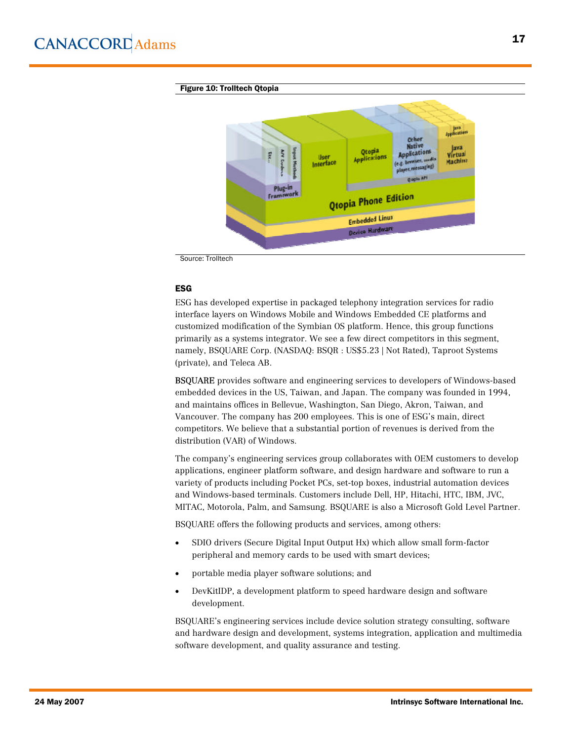![](_page_16_Figure_1.jpeg)

Source: Trolltech

#### ESG

ESG has developed expertise in packaged telephony integration services for radio interface layers on Windows Mobile and Windows Embedded CE platforms and customized modification of the Symbian OS platform. Hence, this group functions primarily as a systems integrator. We see a few direct competitors in this segment, namely, BSQUARE Corp. (NASDAQ: BSQR : US\$5.23 | Not Rated), Taproot Systems (private), and Teleca AB.

BSQUARE provides software and engineering services to developers of Windows-based embedded devices in the US, Taiwan, and Japan. The company was founded in 1994, and maintains offices in Bellevue, Washington, San Diego, Akron, Taiwan, and Vancouver. The company has 200 employees. This is one of ESG's main, direct competitors. We believe that a substantial portion of revenues is derived from the distribution (VAR) of Windows.

The company's engineering services group collaborates with OEM customers to develop applications, engineer platform software, and design hardware and software to run a variety of products including Pocket PCs, set-top boxes, industrial automation devices and Windows-based terminals. Customers include Dell, HP, Hitachi, HTC, IBM, JVC, MITAC, Motorola, Palm, and Samsung. BSQUARE is also a Microsoft Gold Level Partner.

BSQUARE offers the following products and services, among others:

- · SDIO drivers (Secure Digital Input Output Hx) which allow small form-factor peripheral and memory cards to be used with smart devices;
- · portable media player software solutions; and
- · DevKitIDP, a development platform to speed hardware design and software development.

BSQUARE's engineering services include device solution strategy consulting, software and hardware design and development, systems integration, application and multimedia software development, and quality assurance and testing.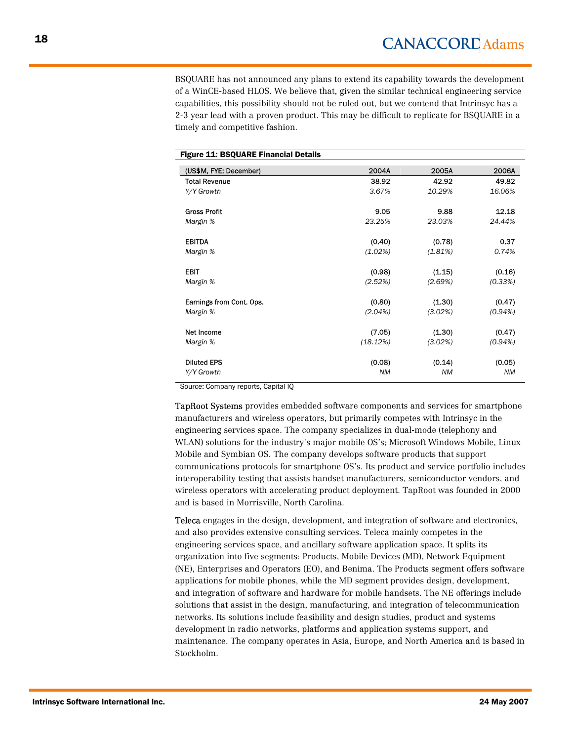BSQUARE has not announced any plans to extend its capability towards the development of a WinCE-based HLOS. We believe that, given the similar technical engineering service capabilities, this possibility should not be ruled out, but we contend that Intrinsyc has a 2-3 year lead with a proven product. This may be difficult to replicate for BSQUARE in a timely and competitive fashion.

| <b>Figure 11: BSQUARE Financial Details</b> |           |           |           |
|---------------------------------------------|-----------|-----------|-----------|
| (US\$M, FYE: December)                      | 2004A     | 2005A     | 2006A     |
| <b>Total Revenue</b>                        | 38.92     | 42.92     | 49.82     |
| Y/Y Growth                                  | 3.67%     | 10.29%    | 16.06%    |
| <b>Gross Profit</b>                         | 9.05      | 9.88      | 12.18     |
| Margin %                                    | 23.25%    | 23.03%    | 24.44%    |
| <b>EBITDA</b>                               | (0.40)    | (0.78)    | 0.37      |
| Margin %                                    | (1.02%)   | (1.81%)   | 0.74%     |
| <b>EBIT</b>                                 | (0.98)    | (1.15)    | (0.16)    |
| Margin %                                    | (2.52%)   | (2.69%)   | (0.33%)   |
| Earnings from Cont. Ops.                    | (0.80)    | (1.30)    | (0.47)    |
| Margin %                                    | (2.04%)   | (3.02%)   | (0.94%)   |
| Net Income                                  | (7.05)    | (1.30)    | (0.47)    |
| Margin %                                    | (18.12%)  | (3.02%)   | (0.94%)   |
| <b>Diluted EPS</b>                          | (0.08)    | (0.14)    | (0.05)    |
| Y/Y Growth                                  | <b>NM</b> | <b>NM</b> | <b>NM</b> |

Source: Company reports, Capital IQ

TapRoot Systems provides embedded software components and services for smartphone manufacturers and wireless operators, but primarily competes with Intrinsyc in the engineering services space. The company specializes in dual-mode (telephony and WLAN) solutions for the industry's major mobile OS's; Microsoft Windows Mobile, Linux Mobile and Symbian OS. The company develops software products that support communications protocols for smartphone OS's. Its product and service portfolio includes interoperability testing that assists handset manufacturers, semiconductor vendors, and wireless operators with accelerating product deployment. TapRoot was founded in 2000 and is based in Morrisville, North Carolina.

Teleca engages in the design, development, and integration of software and electronics, and also provides extensive consulting services. Teleca mainly competes in the engineering services space, and ancillary software application space. It splits its organization into five segments: Products, Mobile Devices (MD), Network Equipment (NE), Enterprises and Operators (EO), and Benima. The Products segment offers software applications for mobile phones, while the MD segment provides design, development, and integration of software and hardware for mobile handsets. The NE offerings include solutions that assist in the design, manufacturing, and integration of telecommunication networks. Its solutions include feasibility and design studies, product and systems development in radio networks, platforms and application systems support, and maintenance. The company operates in Asia, Europe, and North America and is based in Stockholm.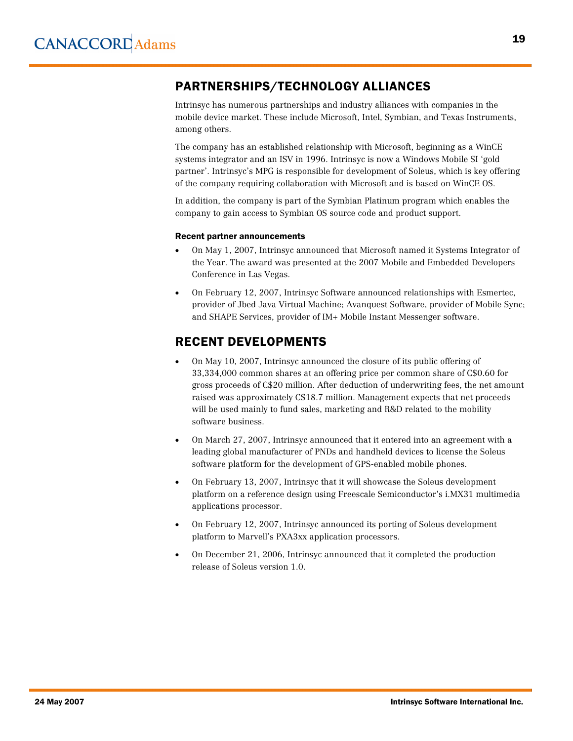# PARTNERSHIPS/TECHNOLOGY ALLIANCES

Intrinsyc has numerous partnerships and industry alliances with companies in the mobile device market. These include Microsoft, Intel, Symbian, and Texas Instruments, among others.

The company has an established relationship with Microsoft, beginning as a WinCE systems integrator and an ISV in 1996. Intrinsyc is now a Windows Mobile SI 'gold partner'. Intrinsyc's MPG is responsible for development of Soleus, which is key offering of the company requiring collaboration with Microsoft and is based on WinCE OS.

In addition, the company is part of the Symbian Platinum program which enables the company to gain access to Symbian OS source code and product support.

#### Recent partner announcements

- · On May 1, 2007, Intrinsyc announced that Microsoft named it Systems Integrator of the Year. The award was presented at the 2007 Mobile and Embedded Developers Conference in Las Vegas.
- · On February 12, 2007, Intrinsyc Software announced relationships with Esmertec, provider of Jbed Java Virtual Machine; Avanquest Software, provider of Mobile Sync; and SHAPE Services, provider of IM+ Mobile Instant Messenger software.

# RECENT DEVELOPMENTS

- · On May 10, 2007, Intrinsyc announced the closure of its public offering of 33,334,000 common shares at an offering price per common share of C\$0.60 for gross proceeds of C\$20 million. After deduction of underwriting fees, the net amount raised was approximately C\$18.7 million. Management expects that net proceeds will be used mainly to fund sales, marketing and R&D related to the mobility software business.
- · On March 27, 2007, Intrinsyc announced that it entered into an agreement with a leading global manufacturer of PNDs and handheld devices to license the Soleus software platform for the development of GPS-enabled mobile phones.
- · On February 13, 2007, Intrinsyc that it will showcase the Soleus development platform on a reference design using Freescale Semiconductor's i.MX31 multimedia applications processor.
- · On February 12, 2007, Intrinsyc announced its porting of Soleus development platform to Marvell's PXA3xx application processors.
- · On December 21, 2006, Intrinsyc announced that it completed the production release of Soleus version 1.0.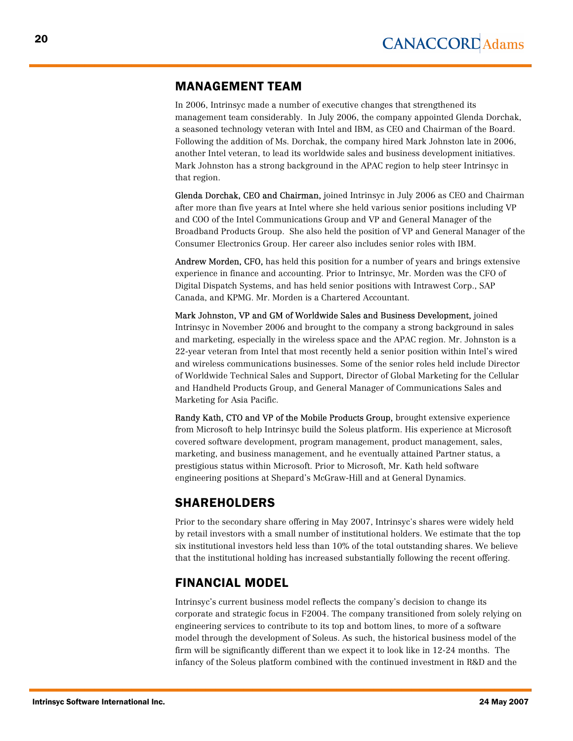# MANAGEMENT TEAM

In 2006, Intrinsyc made a number of executive changes that strengthened its management team considerably. In July 2006, the company appointed Glenda Dorchak, a seasoned technology veteran with Intel and IBM, as CEO and Chairman of the Board. Following the addition of Ms. Dorchak, the company hired Mark Johnston late in 2006, another Intel veteran, to lead its worldwide sales and business development initiatives. Mark Johnston has a strong background in the APAC region to help steer Intrinsyc in that region.

Glenda Dorchak, CEO and Chairman, joined Intrinsyc in July 2006 as CEO and Chairman after more than five years at Intel where she held various senior positions including VP and COO of the Intel Communications Group and VP and General Manager of the Broadband Products Group. She also held the position of VP and General Manager of the Consumer Electronics Group. Her career also includes senior roles with IBM.

Andrew Morden, CFO, has held this position for a number of years and brings extensive experience in finance and accounting. Prior to Intrinsyc, Mr. Morden was the CFO of Digital Dispatch Systems, and has held senior positions with Intrawest Corp., SAP Canada, and KPMG. Mr. Morden is a Chartered Accountant.

Mark Johnston, VP and GM of Worldwide Sales and Business Development, joined Intrinsyc in November 2006 and brought to the company a strong background in sales and marketing, especially in the wireless space and the APAC region. Mr. Johnston is a 22-year veteran from Intel that most recently held a senior position within Intel's wired and wireless communications businesses. Some of the senior roles held include Director of Worldwide Technical Sales and Support, Director of Global Marketing for the Cellular and Handheld Products Group, and General Manager of Communications Sales and Marketing for Asia Pacific.

Randy Kath, CTO and VP of the Mobile Products Group, brought extensive experience from Microsoft to help Intrinsyc build the Soleus platform. His experience at Microsoft covered software development, program management, product management, sales, marketing, and business management, and he eventually attained Partner status, a prestigious status within Microsoft. Prior to Microsoft, Mr. Kath held software engineering positions at Shepard's McGraw-Hill and at General Dynamics.

# SHAREHOLDERS

Prior to the secondary share offering in May 2007, Intrinsyc's shares were widely held by retail investors with a small number of institutional holders. We estimate that the top six institutional investors held less than 10% of the total outstanding shares. We believe that the institutional holding has increased substantially following the recent offering.

# FINANCIAL MODEL

Intrinsyc's current business model reflects the company's decision to change its corporate and strategic focus in F2004. The company transitioned from solely relying on engineering services to contribute to its top and bottom lines, to more of a software model through the development of Soleus. As such, the historical business model of the firm will be significantly different than we expect it to look like in 12-24 months. The infancy of the Soleus platform combined with the continued investment in R&D and the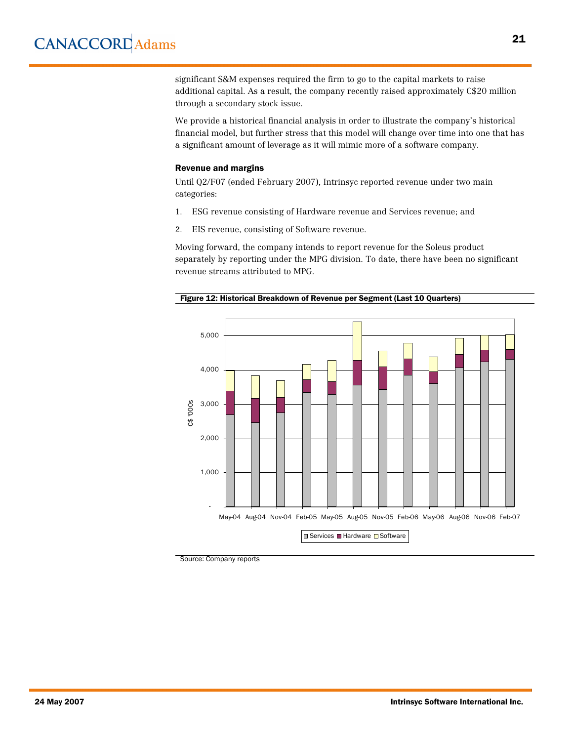significant S&M expenses required the firm to go to the capital markets to raise additional capital. As a result, the company recently raised approximately C\$20 million through a secondary stock issue.

We provide a historical financial analysis in order to illustrate the company's historical financial model, but further stress that this model will change over time into one that has a significant amount of leverage as it will mimic more of a software company.

#### Revenue and margins

Until Q2/F07 (ended February 2007), Intrinsyc reported revenue under two main categories:

- 1. ESG revenue consisting of Hardware revenue and Services revenue; and
- 2. EIS revenue, consisting of Software revenue.

Moving forward, the company intends to report revenue for the Soleus product separately by reporting under the MPG division. To date, there have been no significant revenue streams attributed to MPG.

![](_page_20_Figure_8.jpeg)

![](_page_20_Figure_9.jpeg)

Source: Company reports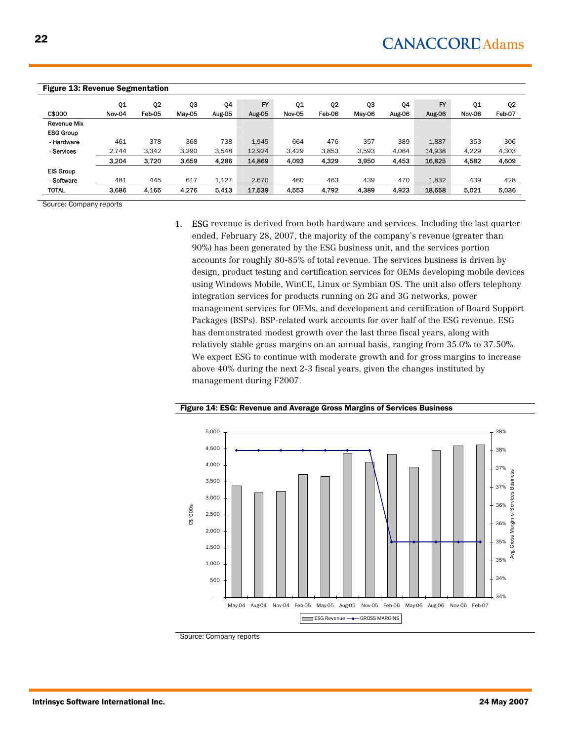| <b>Figure 13: Revenue Segmentation</b> |        |                |        |        |           |                   |                |        |        |        |        |                |
|----------------------------------------|--------|----------------|--------|--------|-----------|-------------------|----------------|--------|--------|--------|--------|----------------|
|                                        | Q1     | Q <sub>2</sub> | QЗ     | Q4     | <b>FY</b> | Q1                | Q <sub>2</sub> | QЗ     | Q4     | FY     | Q1     | Q <sub>2</sub> |
| C\$000                                 | Nov-04 | Feb-05         | May 05 | Aug-05 | Aug-05    | Nov <sub>05</sub> | Feb-06         | May-06 | Aug-06 | Aug-06 | Nov-06 | Feb-07         |
| <b>Revenue Mix</b>                     |        |                |        |        |           |                   |                |        |        |        |        |                |
| <b>ESG Group</b>                       |        |                |        |        |           |                   |                |        |        |        |        |                |
| - Hardware                             | 461    | 378            | 368    | 738    | 1,945     | 664               | 476            | 357    | 389    | 1,887  | 353    | 306            |
| - Services                             | 2.744  | 3.342          | 3.290  | 3.548  | 12,924    | 3.429             | 3.853          | 3.593  | 4.064  | 14,938 | 4.229  | 4,303          |
|                                        | 3.204  | 3.720          | 3.659  | 4.286  | 14,869    | 4,093             | 4.329          | 3.950  | 4.453  | 16,825 | 4,582  | 4,609          |
| <b>EIS Group</b>                       |        |                |        |        |           |                   |                |        |        |        |        |                |
| - Software                             | 481    | 445            | 617    | 1.127  | 2.670     | 460               | 463            | 439    | 470    | 1,832  | 439    | 428            |
| <b>TOTAL</b>                           | 3.686  | 4.165          | 4,276  | 5.413  | 17,539    | 4,553             | 4.792          | 4.389  | 4.923  | 18,658 | 5.021  | 5,036          |

Source: Company reports

1. ESG revenue is derived from both hardware and services. Including the last quarter ended, February 28, 2007, the majority of the company's revenue (greater than 90%) has been generated by the ESG business unit, and the services portion accounts for roughly 80-85% of total revenue. The services business is driven by design, product testing and certification services for OEMs developing mobile devices using Windows Mobile, WinCE, Linux or Symbian OS. The unit also offers telephony integration services for products running on 2G and 3G networks, power management services for OEMs, and development and certification of Board Support Packages (BSPs). BSP-related work accounts for over half of the ESG revenue. ESG has demonstrated modest growth over the last three fiscal years, along with relatively stable gross margins on an annual basis, ranging from 35.0% to 37.50%. We expect ESG to continue with moderate growth and for gross margins to increase above 40% during the next 2-3 fiscal years, given the changes instituted by management during F2007.

![](_page_21_Figure_5.jpeg)

Figure 14: ESG: Revenue and Average Gross Margins of Services Business

Source: Company reports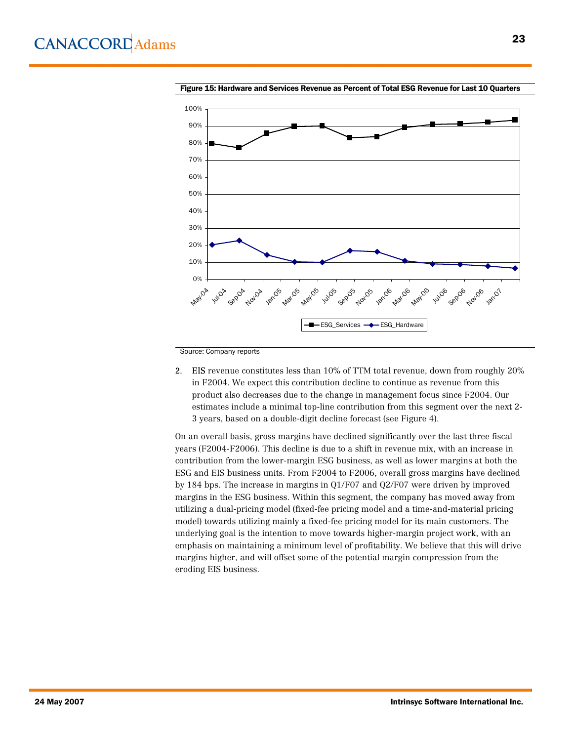![](_page_22_Figure_1.jpeg)

Figure 15: Hardware and Services Revenue as Percent of Total ESG Revenue for Last 10 Quarters

Source: Company reports

2. EIS revenue constitutes less than 10% of TTM total revenue, down from roughly 20% in F2004. We expect this contribution decline to continue as revenue from this product also decreases due to the change in management focus since F2004. Our estimates include a minimal top-line contribution from this segment over the next 2- 3 years, based on a double-digit decline forecast (see Figure 4).

On an overall basis, gross margins have declined significantly over the last three fiscal years (F2004-F2006). This decline is due to a shift in revenue mix, with an increase in contribution from the lower-margin ESG business, as well as lower margins at both the ESG and EIS business units. From F2004 to F2006, overall gross margins have declined by 184 bps. The increase in margins in Q1/F07 and Q2/F07 were driven by improved margins in the ESG business. Within this segment, the company has moved away from utilizing a dual-pricing model (fixed-fee pricing model and a time-and-material pricing model) towards utilizing mainly a fixed-fee pricing model for its main customers. The underlying goal is the intention to move towards higher-margin project work, with an emphasis on maintaining a minimum level of profitability. We believe that this will drive margins higher, and will offset some of the potential margin compression from the eroding EIS business.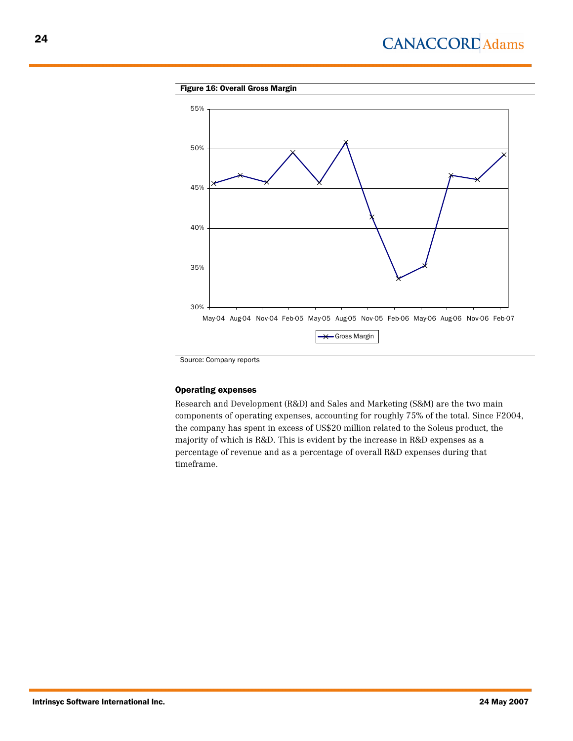# **CANACCORD** Adams

### Figure 16: Overall Gross Margin

![](_page_23_Figure_2.jpeg)

Source: Company reports

#### Operating expenses

Research and Development (R&D) and Sales and Marketing (S&M) are the two main components of operating expenses, accounting for roughly 75% of the total. Since F2004, the company has spent in excess of US\$20 million related to the Soleus product, the majority of which is R&D. This is evident by the increase in R&D expenses as a percentage of revenue and as a percentage of overall R&D expenses during that timeframe.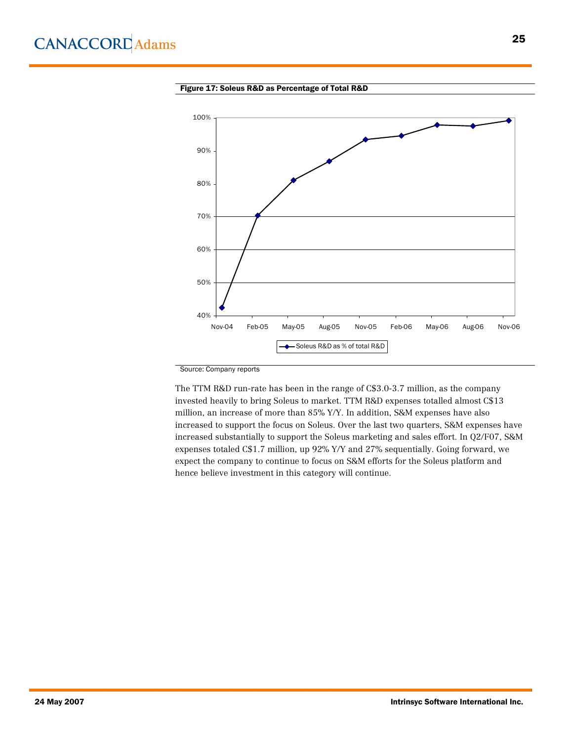![](_page_24_Figure_1.jpeg)

![](_page_24_Figure_2.jpeg)

Source: Company reports

The TTM R&D run-rate has been in the range of C\$3.0-3.7 million, as the company invested heavily to bring Soleus to market. TTM R&D expenses totalled almost C\$13 million, an increase of more than 85% Y/Y. In addition, S&M expenses have also increased to support the focus on Soleus. Over the last two quarters, S&M expenses have increased substantially to support the Soleus marketing and sales effort. In Q2/F07, S&M expenses totaled C\$1.7 million, up 92% Y/Y and 27% sequentially. Going forward, we expect the company to continue to focus on S&M efforts for the Soleus platform and hence believe investment in this category will continue.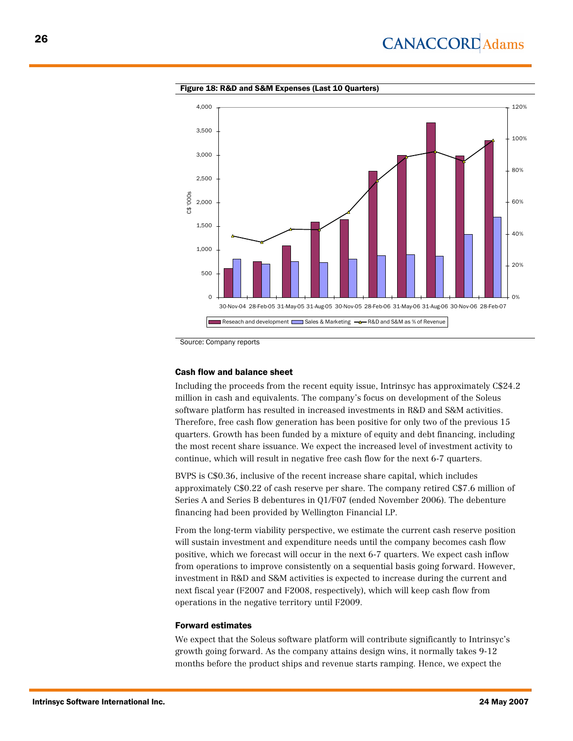![](_page_25_Figure_1.jpeg)

Figure 18: R&D and S&M Expenses (Last 10 Quarters)

Source: Company reports

#### Cash flow and balance sheet

Including the proceeds from the recent equity issue, Intrinsyc has approximately C\$24.2 million in cash and equivalents. The company's focus on development of the Soleus software platform has resulted in increased investments in R&D and S&M activities. Therefore, free cash flow generation has been positive for only two of the previous 15 quarters. Growth has been funded by a mixture of equity and debt financing, including the most recent share issuance. We expect the increased level of investment activity to continue, which will result in negative free cash flow for the next 6-7 quarters.

BVPS is C\$0.36, inclusive of the recent increase share capital, which includes approximately C\$0.22 of cash reserve per share. The company retired C\$7.6 million of Series A and Series B debentures in Q1/F07 (ended November 2006). The debenture financing had been provided by Wellington Financial LP.

From the long-term viability perspective, we estimate the current cash reserve position will sustain investment and expenditure needs until the company becomes cash flow positive, which we forecast will occur in the next 6-7 quarters. We expect cash inflow from operations to improve consistently on a sequential basis going forward. However, investment in R&D and S&M activities is expected to increase during the current and next fiscal year (F2007 and F2008, respectively), which will keep cash flow from operations in the negative territory until F2009.

#### Forward estimates

We expect that the Soleus software platform will contribute significantly to Intrinsyc's growth going forward. As the company attains design wins, it normally takes 9-12 months before the product ships and revenue starts ramping. Hence, we expect the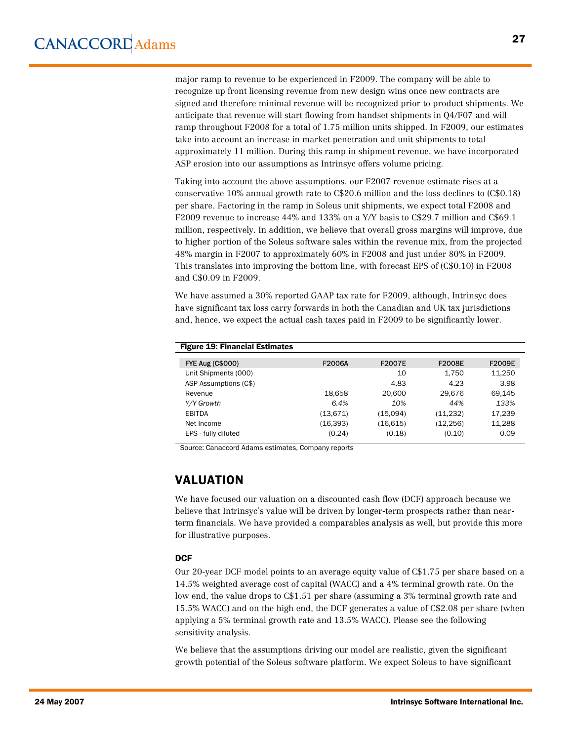major ramp to revenue to be experienced in F2009. The company will be able to recognize up front licensing revenue from new design wins once new contracts are signed and therefore minimal revenue will be recognized prior to product shipments. We anticipate that revenue will start flowing from handset shipments in Q4/F07 and will ramp throughout F2008 for a total of 1.75 million units shipped. In F2009, our estimates take into account an increase in market penetration and unit shipments to total approximately 11 million. During this ramp in shipment revenue, we have incorporated ASP erosion into our assumptions as Intrinsyc offers volume pricing.

Taking into account the above assumptions, our F2007 revenue estimate rises at a conservative 10% annual growth rate to C\$20.6 million and the loss declines to (C\$0.18) per share. Factoring in the ramp in Soleus unit shipments, we expect total F2008 and F2009 revenue to increase 44% and 133% on a Y/Y basis to C\$29.7 million and C\$69.1 million, respectively. In addition, we believe that overall gross margins will improve, due to higher portion of the Soleus software sales within the revenue mix, from the projected 48% margin in F2007 to approximately 60% in F2008 and just under 80% in F2009. This translates into improving the bottom line, with forecast EPS of (C\$0.10) in F2008 and C\$0.09 in F2009.

We have assumed a 30% reported GAAP tax rate for F2009, although, Intrinsyc does have significant tax loss carry forwards in both the Canadian and UK tax jurisdictions and, hence, we expect the actual cash taxes paid in F2009 to be significantly lower.

| <b>Figure 19: Financial Estimates</b> |           |               |               |               |
|---------------------------------------|-----------|---------------|---------------|---------------|
| <b>FYE Aug (C\$000)</b>               | F2006A    | <b>F2007E</b> | <b>F2008E</b> | <b>F2009E</b> |
| Unit Shipments (000)                  |           | 10            | 1,750         | 11,250        |
| ASP Assumptions (C\$)                 |           | 4.83          | 4.23          | 3.98          |
| Revenue                               | 18.658    | 20,600        | 29.676        | 69.145        |
| Y/Y Growth                            | 6.4%      | 10%           | 44%           | 133%          |
| <b>EBITDA</b>                         | (13,671)  | (15,094)      | (11,232)      | 17,239        |
| Net Income                            | (16, 393) | (16,615)      | (12, 256)     | 11,288        |
| EPS - fully diluted                   | (0.24)    | (0.18)        | (0.10)        | 0.09          |

Source: Canaccord Adams estimates, Company reports

# VALUATION

We have focused our valuation on a discounted cash flow (DCF) approach because we believe that Intrinsyc's value will be driven by longer-term prospects rather than nearterm financials. We have provided a comparables analysis as well, but provide this more for illustrative purposes.

#### **DCF**

Our 20-year DCF model points to an average equity value of C\$1.75 per share based on a 14.5% weighted average cost of capital (WACC) and a 4% terminal growth rate. On the low end, the value drops to C\$1.51 per share (assuming a 3% terminal growth rate and 15.5% WACC) and on the high end, the DCF generates a value of C\$2.08 per share (when applying a 5% terminal growth rate and 13.5% WACC). Please see the following sensitivity analysis.

We believe that the assumptions driving our model are realistic, given the significant growth potential of the Soleus software platform. We expect Soleus to have significant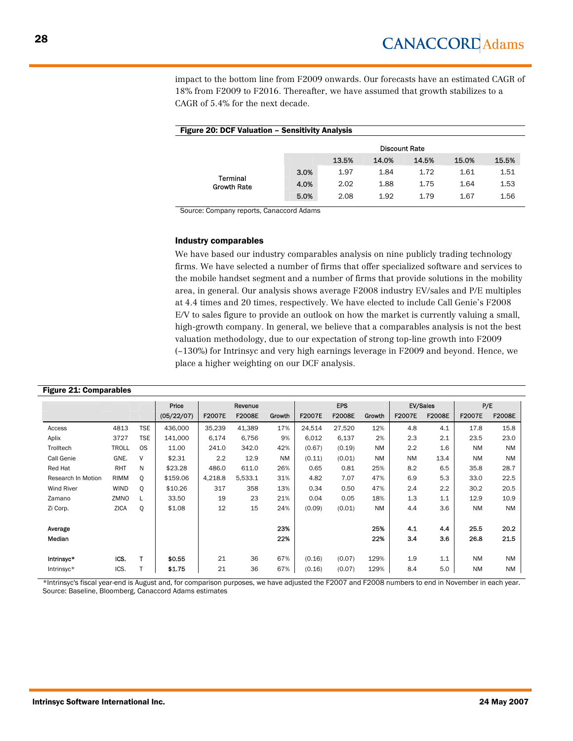impact to the bottom line from F2009 onwards. Our forecasts have an estimated CAGR of 18% from F2009 to F2016. Thereafter, we have assumed that growth stabilizes to a CAGR of 5.4% for the next decade.

| <b>Figure 20: DCF Valuation - Sensitivity Analysis</b> |      |       |                      |       |       |       |  |  |  |  |
|--------------------------------------------------------|------|-------|----------------------|-------|-------|-------|--|--|--|--|
|                                                        |      |       | <b>Discount Rate</b> |       |       |       |  |  |  |  |
|                                                        |      | 13.5% | 14.0%                | 14.5% | 15.0% | 15.5% |  |  |  |  |
|                                                        | 3.0% | 1.97  | 1.84                 | 1.72  | 1.61  | 1.51  |  |  |  |  |
| Terminal<br><b>Growth Rate</b>                         | 4.0% | 2.02  | 1.88                 | 1.75  | 1.64  | 1.53  |  |  |  |  |
|                                                        | 5.0% | 2.08  | 1.92                 | 1.79  | 1.67  | 1.56  |  |  |  |  |

Source: Company reports, Canaccord Adams

#### Industry comparables

We have based our industry comparables analysis on nine publicly trading technology firms. We have selected a number of firms that offer specialized software and services to the mobile handset segment and a number of firms that provide solutions in the mobility area, in general. Our analysis shows average F2008 industry EV/sales and P/E multiples at 4.4 times and 20 times, respectively. We have elected to include Call Genie's F2008 E/V to sales figure to provide an outlook on how the market is currently valuing a small, high-growth company. In general, we believe that a comparables analysis is not the best valuation methodology, due to our expectation of strong top-line growth into F2009 (~130%) for Intrinsyc and very high earnings leverage in F2009 and beyond. Hence, we place a higher weighting on our DCF analysis.

#### Figure 21: Comparables

|                    |              |            | Price      |               | Revenue       |           |               | <b>EPS</b>    |           |               | EV/Sales      | P/E           |               |
|--------------------|--------------|------------|------------|---------------|---------------|-----------|---------------|---------------|-----------|---------------|---------------|---------------|---------------|
|                    |              |            | (05/22/07) | <b>F2007E</b> | <b>F2008E</b> | Growth    | <b>F2007E</b> | <b>F2008E</b> | Growth    | <b>F2007E</b> | <b>F2008E</b> | <b>F2007E</b> | <b>F2008E</b> |
| Access             | 4813         | <b>TSE</b> | 436,000    | 35,239        | 41,389        | 17%       | 24,514        | 27,520        | 12%       | 4.8           | 4.1           | 17.8          | 15.8          |
| Aplix              | 3727         | <b>TSE</b> | 141,000    | 6,174         | 6,756         | 9%        | 6,012         | 6,137         | 2%        | 2.3           | 2.1           | 23.5          | 23.0          |
| Trolltech          | <b>TROLL</b> | <b>OS</b>  | 11.00      | 241.0         | 342.0         | 42%       | (0.67)        | (0.19)        | <b>NM</b> | 2.2           | 1.6           | <b>NM</b>     | <b>NM</b>     |
| Call Genie         | GNE.         | ٧          | \$2.31     | 2.2           | 12.9          | <b>NM</b> | (0.11)        | (0.01)        | <b>NM</b> | <b>NM</b>     | 13.4          | <b>NM</b>     | NM            |
| Red Hat            | <b>RHT</b>   | N          | \$23.28    | 486.0         | 611.0         | 26%       | 0.65          | 0.81          | 25%       | 8.2           | 6.5           | 35.8          | 28.7          |
| Research In Motion | <b>RIMM</b>  | O          | \$159.06   | 4,218.8       | 5,533.1       | 31%       | 4.82          | 7.07          | 47%       | 6.9           | 5.3           | 33.0          | 22.5          |
| <b>Wind River</b>  | <b>WIND</b>  | Q          | \$10.26    | 317           | 358           | 13%       | 0.34          | 0.50          | 47%       | 2.4           | 2.2           | 30.2          | 20.5          |
| Zamano             | ZMNO         | ⊾          | 33.50      | 19            | 23            | 21%       | 0.04          | 0.05          | 18%       | 1.3           | 1.1           | 12.9          | 10.9          |
| Zi Corp.           | <b>ZICA</b>  | Q          | \$1.08     | 12            | 15            | 24%       | (0.09)        | (0.01)        | <b>NM</b> | 4.4           | 3.6           | <b>NM</b>     | <b>NM</b>     |
|                    |              |            |            |               |               |           |               |               |           |               |               |               |               |
| Average            |              |            |            |               |               | 23%       |               |               | 25%       | 4.1           | 4.4           | 25.5          | 20.2          |
| Median             |              |            |            |               |               | 22%       |               |               | 22%       | 3.4           | 3.6           | 26.8          | 21.5          |
|                    |              |            |            |               |               |           |               |               |           |               |               |               |               |
| Intrinsyc*         | ICS.         |            | \$0.55     | 21            | 36            | 67%       | (0.16)        | (0.07)        | 129%      | 1.9           | 1.1           | <b>NM</b>     | NM            |
| Intrinsyc*         | ICS.         |            | \$1.75     | 21            | 36            | 67%       | (0.16)        | (0.07)        | 129%      | 8.4           | 5.0           | <b>NM</b>     | NM            |

\*Intrinsyc's fiscal year-end is August and, for comparison purposes, we have adjusted the F2007 and F2008 numbers to end in November in each year. Source: Baseline, Bloomberg, Canaccord Adams estimates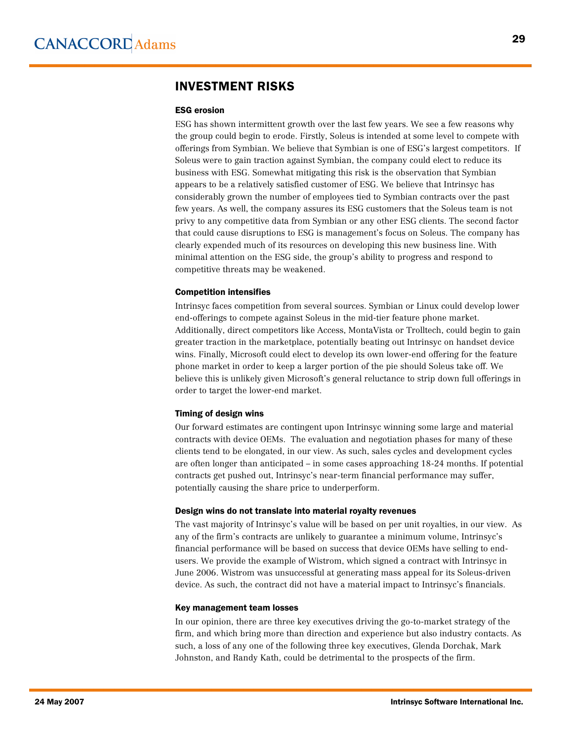# INVESTMENT RISKS

#### ESG erosion

ESG has shown intermittent growth over the last few years. We see a few reasons why the group could begin to erode. Firstly, Soleus is intended at some level to compete with offerings from Symbian. We believe that Symbian is one of ESG's largest competitors. If Soleus were to gain traction against Symbian, the company could elect to reduce its business with ESG. Somewhat mitigating this risk is the observation that Symbian appears to be a relatively satisfied customer of ESG. We believe that Intrinsyc has considerably grown the number of employees tied to Symbian contracts over the past few years. As well, the company assures its ESG customers that the Soleus team is not privy to any competitive data from Symbian or any other ESG clients. The second factor that could cause disruptions to ESG is management's focus on Soleus. The company has clearly expended much of its resources on developing this new business line. With minimal attention on the ESG side, the group's ability to progress and respond to competitive threats may be weakened.

#### Competition intensifies

Intrinsyc faces competition from several sources. Symbian or Linux could develop lower end-offerings to compete against Soleus in the mid-tier feature phone market. Additionally, direct competitors like Access, MontaVista or Trolltech, could begin to gain greater traction in the marketplace, potentially beating out Intrinsyc on handset device wins. Finally, Microsoft could elect to develop its own lower-end offering for the feature phone market in order to keep a larger portion of the pie should Soleus take off. We believe this is unlikely given Microsoft's general reluctance to strip down full offerings in order to target the lower-end market.

#### Timing of design wins

Our forward estimates are contingent upon Intrinsyc winning some large and material contracts with device OEMs. The evaluation and negotiation phases for many of these clients tend to be elongated, in our view. As such, sales cycles and development cycles are often longer than anticipated – in some cases approaching 18-24 months. If potential contracts get pushed out, Intrinsyc's near-term financial performance may suffer, potentially causing the share price to underperform.

#### Design wins do not translate into material royalty revenues

The vast majority of Intrinsyc's value will be based on per unit royalties, in our view. As any of the firm's contracts are unlikely to guarantee a minimum volume, Intrinsyc's financial performance will be based on success that device OEMs have selling to endusers. We provide the example of Wistrom, which signed a contract with Intrinsyc in June 2006. Wistrom was unsuccessful at generating mass appeal for its Soleus-driven device. As such, the contract did not have a material impact to Intrinsyc's financials.

#### Key management team losses

In our opinion, there are three key executives driving the go-to-market strategy of the firm, and which bring more than direction and experience but also industry contacts. As such, a loss of any one of the following three key executives, Glenda Dorchak, Mark Johnston, and Randy Kath, could be detrimental to the prospects of the firm.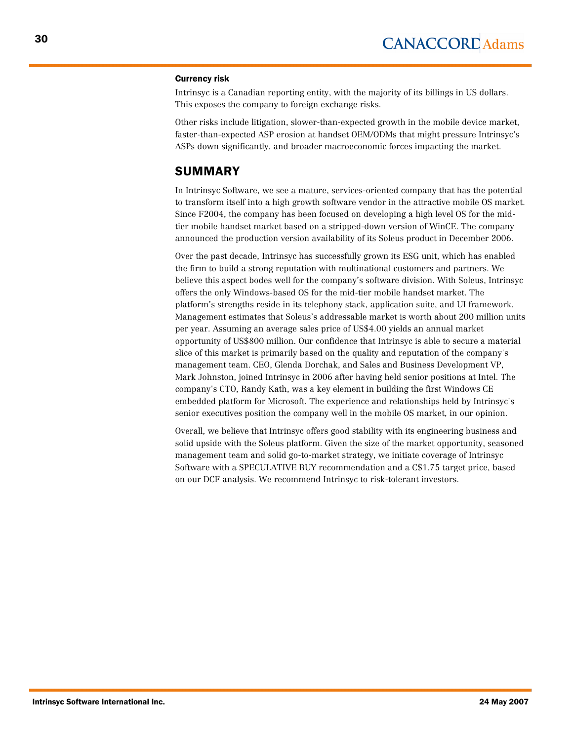#### Currency risk

Intrinsyc is a Canadian reporting entity, with the majority of its billings in US dollars. This exposes the company to foreign exchange risks.

Other risks include litigation, slower-than-expected growth in the mobile device market, faster-than-expected ASP erosion at handset OEM/ODMs that might pressure Intrinsyc's ASPs down significantly, and broader macroeconomic forces impacting the market.

# SUMMARY

In Intrinsyc Software, we see a mature, services-oriented company that has the potential to transform itself into a high growth software vendor in the attractive mobile OS market. Since F2004, the company has been focused on developing a high level OS for the midtier mobile handset market based on a stripped-down version of WinCE. The company announced the production version availability of its Soleus product in December 2006.

Over the past decade, Intrinsyc has successfully grown its ESG unit, which has enabled the firm to build a strong reputation with multinational customers and partners. We believe this aspect bodes well for the company's software division. With Soleus, Intrinsyc offers the only Windows-based OS for the mid-tier mobile handset market. The platform's strengths reside in its telephony stack, application suite, and UI framework. Management estimates that Soleus's addressable market is worth about 200 million units per year. Assuming an average sales price of US\$4.00 yields an annual market opportunity of US\$800 million. Our confidence that Intrinsyc is able to secure a material slice of this market is primarily based on the quality and reputation of the company's management team. CEO, Glenda Dorchak, and Sales and Business Development VP, Mark Johnston, joined Intrinsyc in 2006 after having held senior positions at Intel. The company's CTO, Randy Kath, was a key element in building the first Windows CE embedded platform for Microsoft. The experience and relationships held by Intrinsyc's senior executives position the company well in the mobile OS market, in our opinion.

Overall, we believe that Intrinsyc offers good stability with its engineering business and solid upside with the Soleus platform. Given the size of the market opportunity, seasoned management team and solid go-to-market strategy, we initiate coverage of Intrinsyc Software with a SPECULATIVE BUY recommendation and a C\$1.75 target price, based on our DCF analysis. We recommend Intrinsyc to risk-tolerant investors.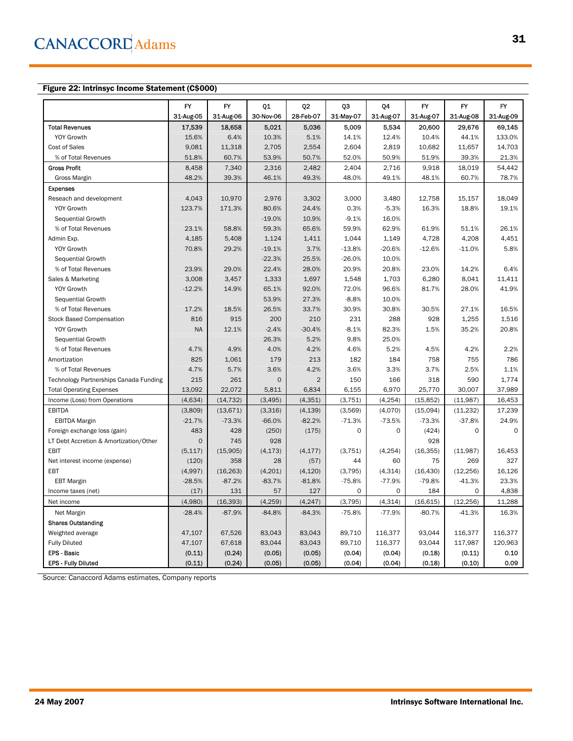### Figure 22: Intrinsyc Income Statement (C\$000)

|                                        | FY           | <b>FY</b> | Q1          | Q <sub>2</sub> | QЗ          | Q4        | FY        | FY          | <b>FY</b> |
|----------------------------------------|--------------|-----------|-------------|----------------|-------------|-----------|-----------|-------------|-----------|
|                                        | 31-Aug-05    | 31-Aug-06 | 30-Nov-06   | 28-Feb-07      | 31-May-07   | 31-Aug-07 | 31-Aug-07 | 31-Aug-08   | 31-Aug-09 |
| <b>Total Revenues</b>                  | 17,539       | 18,658    | 5,021       | 5,036          | 5,009       | 5,534     | 20,600    | 29,676      | 69.145    |
| <b>YOY Growth</b>                      | 15.6%        | 6.4%      | 10.3%       | 5.1%           | 14.1%       | 12.4%     | 10.4%     | 44.1%       | 133.0%    |
| Cost of Sales                          | 9,081        | 11,318    | 2,705       | 2,554          | 2,604       | 2,819     | 10,682    | 11,657      | 14,703    |
| % of Total Revenues                    | 51.8%        | 60.7%     | 53.9%       | 50.7%          | 52.0%       | 50.9%     | 51.9%     | 39.3%       | 21.3%     |
| <b>Gross Profit</b>                    | 8,458        | 7,340     | 2,316       | 2,482          | 2,404       | 2,716     | 9,918     | 18,019      | 54,442    |
| <b>Gross Margin</b>                    | 48.2%        | 39.3%     | 46.1%       | 49.3%          | 48.0%       | 49.1%     | 48.1%     | 60.7%       | 78.7%     |
| <b>Expenses</b>                        |              |           |             |                |             |           |           |             |           |
| Reseach and development                | 4,043        | 10,970    | 2,976       | 3,302          | 3,000       | 3,480     | 12,758    | 15,157      | 18,049    |
| YOY Growth                             | 123.7%       | 171.3%    | 80.6%       | 24.4%          | 0.3%        | $-5.3%$   | 16.3%     | 18.8%       | 19.1%     |
| Sequential Growth                      |              |           | $-19.0%$    | 10.9%          | $-9.1%$     | 16.0%     |           |             |           |
| % of Total Revenues                    | 23.1%        | 58.8%     | 59.3%       | 65.6%          | 59.9%       | 62.9%     | 61.9%     | 51.1%       | 26.1%     |
| Admin Exp.                             | 4,185        | 5,408     | 1,124       | 1,411          | 1,044       | 1,149     | 4,728     | 4,208       | 4,451     |
| <b>YOY Growth</b>                      | 70.8%        | 29.2%     | $-19.1%$    | 3.7%           | $-13.8%$    | $-20.6%$  | $-12.6%$  | $-11.0%$    | 5.8%      |
| Sequential Growth                      |              |           | $-22.3%$    | 25.5%          | $-26.0%$    | 10.0%     |           |             |           |
| % of Total Revenues                    | 23.9%        | 29.0%     | 22.4%       | 28.0%          | 20.9%       | 20.8%     | 23.0%     | 14.2%       | 6.4%      |
| Sales & Marketing                      | 3,008        | 3,457     | 1,333       | 1,697          | 1,548       | 1,703     | 6,280     | 8,041       | 11,411    |
| <b>YOY Growth</b>                      | $-12.2%$     | 14.9%     | 65.1%       | 92.0%          | 72.0%       | 96.6%     | 81.7%     | 28.0%       | 41.9%     |
| Sequential Growth                      |              |           | 53.9%       | 27.3%          | $-8.8%$     | 10.0%     |           |             |           |
| % of Total Revenues                    | 17.2%        | 18.5%     | 26.5%       | 33.7%          | 30.9%       | 30.8%     | 30.5%     | 27.1%       | 16.5%     |
| <b>Stock Based Compensation</b>        | 816          | 915       | 200         | 210            | 231         | 288       | 928       | 1,255       | 1,516     |
| <b>YOY Growth</b>                      | <b>NA</b>    | 12.1%     | $-2.4%$     | $-30.4%$       | $-8.1%$     | 82.3%     | 1.5%      | 35.2%       | 20.8%     |
| Sequential Growth                      |              |           | 26.3%       | 5.2%           | 9.8%        | 25.0%     |           |             |           |
| % of Total Revenues                    | 4.7%         | 4.9%      | 4.0%        | 4.2%           | 4.6%        | 5.2%      | 4.5%      | 4.2%        | 2.2%      |
| Amortization                           | 825          | 1,061     | 179         | 213            | 182         | 184       | 758       | 755         | 786       |
| % of Total Revenues                    | 4.7%         | 5.7%      | 3.6%        | 4.2%           | 3.6%        | 3.3%      | 3.7%      | 2.5%        | 1.1%      |
| Technology Partnerships Canada Funding | 215          | 261       | $\mathbf 0$ | $\overline{2}$ | 150         | 166       | 318       | 590         | 1,774     |
| <b>Total Operating Expenses</b>        | 13,092       | 22,072    | 5,811       | 6,834          | 6,155       | 6,970     | 25,770    | 30,007      | 37,989    |
| Income (Loss) from Operations          | (4,634)      | (14, 732) | (3, 495)    | (4, 351)       | (3, 751)    | (4, 254)  | (15, 852) | (11,987)    | 16,453    |
| <b>EBITDA</b>                          | (3,809)      | (13, 671) | (3,316)     | (4, 139)       | (3,569)     | (4,070)   | (15,094)  | (11, 232)   | 17.239    |
| <b>EBITDA Margin</b>                   | $-21.7%$     | $-73.3%$  | $-66.0%$    | $-82.2%$       | $-71.3%$    | $-73.5%$  | $-73.3%$  | $-37.8%$    | 24.9%     |
| Foreign exchange loss (gain)           | 483          | 428       | (250)       | (175)          | $\mathbf 0$ | $\Omega$  | (424)     | $\mathbf 0$ | $\Omega$  |
| LT Debt Accretion & Amortization/Other | $\mathbf{O}$ | 745       | 928         |                |             |           | 928       |             |           |
| <b>EBIT</b>                            | (5, 117)     | (15,905)  | (4, 173)    | (4, 177)       | (3,751)     | (4, 254)  | (16, 355) | (11,987)    | 16.453    |
| Net interest income (expense)          | (120)        | 358       | 28          | (57)           | 44          | 60        | 75        | 269         | 327       |
| EBT                                    | (4,997)      | (16, 263) | (4,201)     | (4, 120)       | (3,795)     | (4, 314)  | (16, 430) | (12, 256)   | 16,126    |
| <b>EBT Margin</b>                      | $-28.5%$     | $-87.2%$  | $-83.7%$    | $-81.8%$       | $-75.8%$    | $-77.9%$  | $-79.8%$  | $-41.3%$    | 23.3%     |
| Income taxes (net)                     | (17)         | 131       | 57          | 127            | 0           | 0         | 184       | 0           | 4,838     |
| Net income                             | (4,980)      | (16, 393) | (4, 259)    | (4, 247)       | (3, 795)    | (4, 314)  | (16, 615) | (12, 256)   | 11,288    |
| Net Margin                             | $-28.4%$     | $-87.9%$  | $-84.8%$    | $-84.3%$       | $-75.8%$    | -77.9%    | $-80.7%$  | $-41.3%$    | 16.3%     |
| <b>Shares Outstanding</b>              |              |           |             |                |             |           |           |             |           |
| Weighted average                       | 47,107       | 67,526    | 83,043      | 83,043         | 89,710      | 116,377   | 93,044    | 116,377     | 116,377   |
| <b>Fully Diluted</b>                   | 47,107       | 67,618    | 83,044      | 83,043         | 89,710      | 116,377   | 93,044    | 117,987     | 120,963   |
| <b>EPS - Basic</b>                     | (0.11)       | (0.24)    | (0.05)      | (0.05)         | (0.04)      | (0.04)    | (0.18)    | (0.11)      | 0.10      |
| <b>EPS - Fully Diluted</b>             | (0.11)       | (0.24)    | (0.05)      | (0.05)         | (0.04)      | (0.04)    | (0.18)    | (0.10)      | 0.09      |

Source: Canaccord Adams estimates, Company reports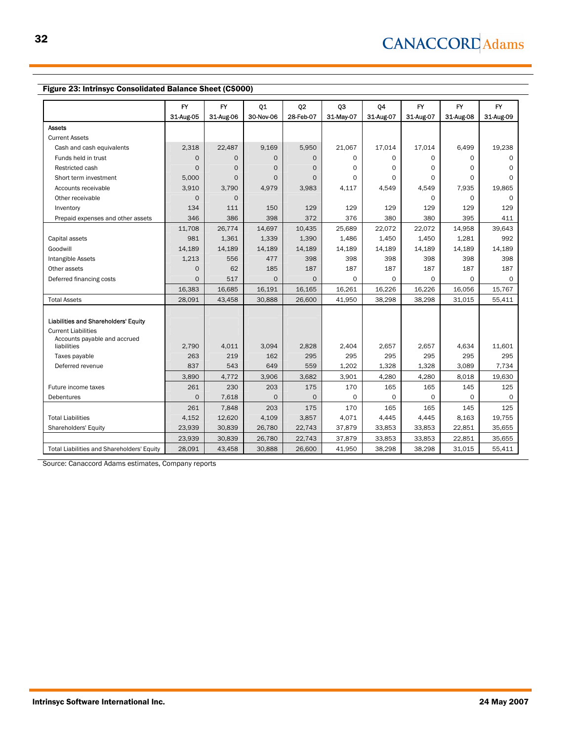#### Figure 23: Intrinsyc Consolidated Balance Sheet (C\$000)

|                                             | FY        | <b>FY</b>    | Q <sub>1</sub> | Q <sub>2</sub> | Q3           | Q4        | <b>FY</b> | <b>FY</b> | FY.           |
|---------------------------------------------|-----------|--------------|----------------|----------------|--------------|-----------|-----------|-----------|---------------|
|                                             | 31-Aug-05 | 31-Aug-06    | 30-Nov-06      | 28-Feb-07      | 31-May-07    | 31-Aug-07 | 31-Aug-07 | 31-Aug-08 | 31-Aug-09     |
| <b>Assets</b>                               |           |              |                |                |              |           |           |           |               |
| <b>Current Assets</b>                       |           |              |                |                |              |           |           |           |               |
| Cash and cash equivalents                   | 2,318     | 22,487       | 9,169          | 5.950          | 21,067       | 17,014    | 17,014    | 6,499     | 19,238        |
| Funds held in trust                         | $\Omega$  | $\circ$      | $\mathbf 0$    | $\circ$        | $\Omega$     | 0         | $\Omega$  | $\Omega$  | $\Omega$      |
| Restricted cash                             | $\Omega$  | $\circ$      | $\mathbf 0$    | $\circ$        | $\Omega$     | $\Omega$  | $\Omega$  | $\Omega$  | $\Omega$      |
| Short term investment                       | 5.000     | $\Omega$     | $\Omega$       | $\Omega$       | $\Omega$     | $\Omega$  | $\Omega$  | 0         | $\Omega$      |
| Accounts receivable                         | 3,910     | 3.790        | 4.979          | 3,983          | 4,117        | 4,549     | 4.549     | 7.935     | 19.865        |
| Other receivable                            | $\Omega$  | $\Omega$     |                |                |              |           | $\Omega$  | $\Omega$  | $\Omega$      |
| Inventory                                   | 134       | 111          | 150            | 129            | 129          | 129       | 129       | 129       | 129           |
| Prepaid expenses and other assets           | 346       | 386          | 398            | 372            | 376          | 380       | 380       | 395       | 411           |
|                                             | 11,708    | 26,774       | 14,697         | 10,435         | 25,689       | 22,072    | 22,072    | 14,958    | 39,643        |
| Capital assets                              | 981       | 1,361        | 1,339          | 1,390          | 1,486        | 1,450     | 1,450     | 1,281     | 992           |
| Goodwill                                    | 14,189    | 14,189       | 14,189         | 14,189         | 14,189       | 14,189    | 14,189    | 14,189    | 14,189        |
| Intangible Assets                           | 1,213     | 556          | 477            | 398            | 398          | 398       | 398       | 398       | 398           |
| Other assets                                | $\Omega$  | 62           | 185            | 187            | 187          | 187       | 187       | 187       | 187           |
| Deferred financing costs                    | $\Omega$  | 517          | $\mathsf{O}$   | $\circ$        | 0            | $\circ$   | $\circ$   | 0         | 0             |
|                                             | 16,383    | 16,685       | 16,191         | 16,165         | 16,261       | 16,226    | 16,226    | 16,056    | 15,767        |
| <b>Total Assets</b>                         | 28,091    | 43,458       | 30,888         | 26,600         | 41,950       | 38,298    | 38,298    | 31,015    | 55,411        |
|                                             |           |              |                |                |              |           |           |           |               |
| Liabilities and Shareholders' Equity        |           |              |                |                |              |           |           |           |               |
| <b>Current Liabilities</b>                  |           |              |                |                |              |           |           |           |               |
| Accounts payable and accrued<br>liabilities | 2.790     |              |                |                |              | 2.657     | 2.657     | 4.634     |               |
|                                             | 263       | 4,011<br>219 | 3,094<br>162   | 2,828<br>295   | 2,404<br>295 | 295       | 295       | 295       | 11,601<br>295 |
| Taxes payable                               | 837       | 543          | 649            | 559            | 1,202        | 1,328     | 1,328     | 3,089     | 7,734         |
| Deferred revenue                            |           |              |                |                |              |           |           |           |               |
|                                             | 3,890     | 4,772        | 3,906          | 3,682          | 3,901        | 4,280     | 4,280     | 8,018     | 19,630        |
| Future income taxes                         | 261       | 230          | 203            | 175            | 170          | 165       | 165       | 145       | 125           |
| Debentures                                  | $\Omega$  | 7,618        | $\mathbf 0$    | $\mathsf{O}$   | 0            | $\circ$   | $\Omega$  | $\Omega$  | $\Omega$      |
|                                             | 261       | 7,848        | 203            | 175            | 170          | 165       | 165       | 145       | 125           |
| <b>Total Liabilities</b>                    | 4,152     | 12,620       | 4,109          | 3,857          | 4,071        | 4,445     | 4,445     | 8,163     | 19,755        |
| Shareholders' Equity                        | 23,939    | 30,839       | 26,780         | 22,743         | 37,879       | 33,853    | 33,853    | 22,851    | 35,655        |
|                                             | 23,939    | 30,839       | 26,780         | 22,743         | 37,879       | 33,853    | 33,853    | 22,851    | 35,655        |
| Total Liabilities and Shareholders' Equity  | 28,091    | 43,458       | 30,888         | 26,600         | 41,950       | 38,298    | 38,298    | 31,015    | 55,411        |

Source: Canaccord Adams estimates, Company reports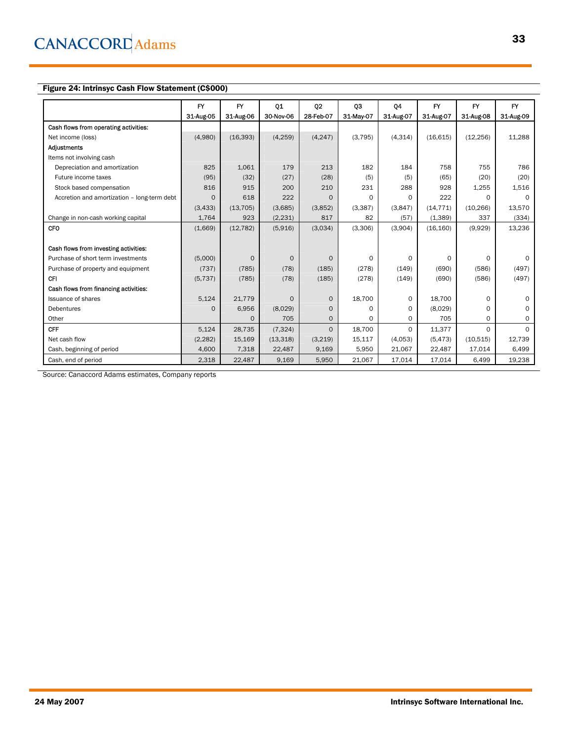### Figure 24: Intrinsyc Cash Flow Statement (C\$000)

|                                             | FY        | <b>FY</b> | Q1        | Q <sub>2</sub> | 03        | Q4        | <b>FY</b> | <b>FY</b> | <b>FY</b> |
|---------------------------------------------|-----------|-----------|-----------|----------------|-----------|-----------|-----------|-----------|-----------|
|                                             | 31 Aug 05 | 31-Aug-06 | 30-Nov-06 | 28-Feb-07      | 31-May-07 | 31-Aug-07 | 31 Aug 07 | 31 Aug 08 | 31-Aug-09 |
| Cash flows from operating activities:       |           |           |           |                |           |           |           |           |           |
| Net income (loss)                           | (4,980)   | (16, 393) | (4, 259)  | (4, 247)       | (3,795)   | (4, 314)  | (16, 615) | (12, 256) | 11,288    |
| Adjustments                                 |           |           |           |                |           |           |           |           |           |
| Items not involving cash                    |           |           |           |                |           |           |           |           |           |
| Depreciation and amortization               | 825       | 1,061     | 179       | 213            | 182       | 184       | 758       | 755       | 786       |
| Future income taxes                         | (95)      | (32)      | (27)      | (28)           | (5)       | (5)       | (65)      | (20)      | (20)      |
| Stock based compensation                    | 816       | 915       | 200       | 210            | 231       | 288       | 928       | 1,255     | 1,516     |
| Accretion and amortization - long-term debt | $\Omega$  | 618       | 222       | $\Omega$       | 0         | 0         | 222       | 0         | $\Omega$  |
|                                             | (3, 433)  | (13, 705) | (3,685)   | (3,852)        | (3,387)   | (3,847)   | (14, 771) | (10, 266) | 13,570    |
| Change in non-cash working capital          | 1,764     | 923       | (2,231)   | 817            | 82        | (57)      | (1,389)   | 337       | (334)     |
| <b>CFO</b>                                  | (1,669)   | (12, 782) | (5,916)   | (3,034)        | (3,306)   | (3,904)   | (16, 160) | (9,929)   | 13,236    |
|                                             |           |           |           |                |           |           |           |           |           |
| Cash flows from investing activities:       |           |           |           |                |           |           |           |           |           |
| Purchase of short term investments          | (5,000)   | $\Omega$  | $\Omega$  | $\Omega$       | 0         | 0         | 0         | $\Omega$  | $\Omega$  |
| Purchase of property and equipment          | (737)     | (785)     | (78)      | (185)          | (278)     | (149)     | (690)     | (586)     | (497)     |
| <b>CFI</b>                                  | (5, 737)  | (785)     | (78)      | (185)          | (278)     | (149)     | (690)     | (586)     | (497)     |
| Cash flows from financing activities:       |           |           |           |                |           |           |           |           |           |
| <b>Issuance of shares</b>                   | 5,124     | 21,779    | $\Omega$  | $\Omega$       | 18,700    | 0         | 18,700    | $\Omega$  | $\Omega$  |
| Debentures                                  | $\Omega$  | 6,956     | (8,029)   | $\Omega$       | $\Omega$  | $\Omega$  | (8,029)   | 0         | $\Omega$  |
| Other                                       |           | $\Omega$  | 705       | $\Omega$       | $\Omega$  | $\Omega$  | 705       | 0         | $\Omega$  |
| <b>CFF</b>                                  | 5,124     | 28,735    | (7, 324)  | $\Omega$       | 18,700    | 0         | 11,377    | $\Omega$  | $\Omega$  |
| Net cash flow                               | (2, 282)  | 15,169    | (13, 318) | (3,219)        | 15,117    | (4,053)   | (5, 473)  | (10,515)  | 12,739    |
| Cash, beginning of period                   | 4,600     | 7,318     | 22,487    | 9,169          | 5,950     | 21,067    | 22,487    | 17,014    | 6,499     |
| Cash, end of period                         | 2,318     | 22,487    | 9,169     | 5,950          | 21,067    | 17,014    | 17,014    | 6,499     | 19,238    |

Source: Canaccord Adams estimates, Company reports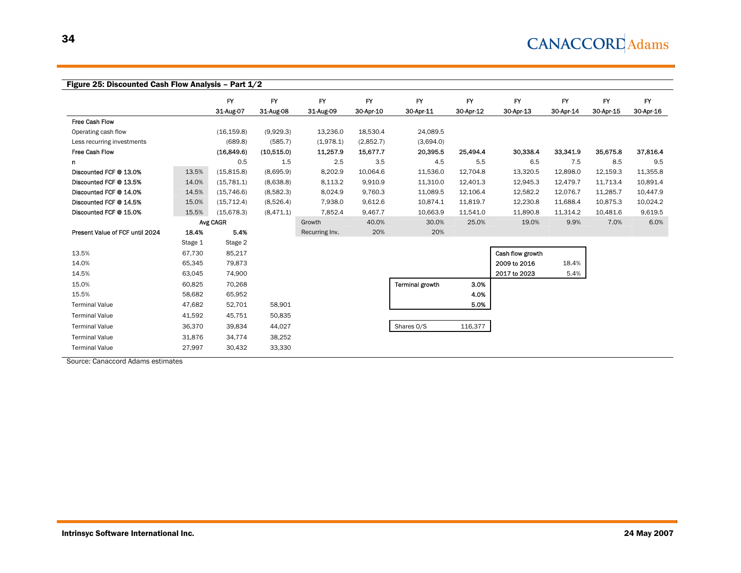|                                 |         | FY          | <b>FY</b>  | <b>FY</b>      | <b>FY</b> | <b>FY</b>              | <b>FY</b> | $\mathsf{FY}$    | $\mathsf{FY}$ | <b>FY</b> | FY        |
|---------------------------------|---------|-------------|------------|----------------|-----------|------------------------|-----------|------------------|---------------|-----------|-----------|
|                                 |         | 31-Aug-07   | 31-Aug-08  | 31-Aug-09      | 30-Apr-10 | 30-Apr-11              | 30-Apr-12 | 30-Apr-13        | 30-Apr-14     | 30-Apr-15 | 30-Apr-16 |
| <b>Free Cash Flow</b>           |         |             |            |                |           |                        |           |                  |               |           |           |
| Operating cash flow             |         | (16, 159.8) | (9,929.3)  | 13,236.0       | 18,530.4  | 24,089.5               |           |                  |               |           |           |
| Less recurring investments      |         | (689.8)     | (585.7)    | (1,978.1)      | (2,852.7) | (3,694.0)              |           |                  |               |           |           |
| Free Cash Flow                  |         | (16, 849.6) | (10,515.0) | 11,257.9       | 15,677.7  | 20,395.5               | 25,494.4  | 30,338.4         | 33,341.9      | 35,675.8  | 37,816.4  |
| n                               |         | 0.5         | 1.5        | 2.5            | 3.5       | 4.5                    | 5.5       | 6.5              | 7.5           | 8.5       | 9.5       |
| Discounted FCF @ 13.0%          | 13.5%   | (15, 815.8) | (8,695.9)  | 8,202.9        | 10,064.6  | 11,536.0               | 12.704.8  | 13,320.5         | 12,898.0      | 12,159.3  | 11,355.8  |
| Discounted FCF @ 13.5%          | 14.0%   | (15, 781.1) | (8,638.8)  | 8,113.2        | 9,910.9   | 11,310.0               | 12,401.3  | 12,945.3         | 12,479.7      | 11,713.4  | 10,891.4  |
| Discounted FCF @ 14.0%          | 14.5%   | (15, 746.6) | (8,582.3)  | 8,024.9        | 9,760.3   | 11,089.5               | 12,106.4  | 12,582.2         | 12,076.7      | 11,285.7  | 10.447.9  |
| Discounted FCF @ 14.5%          | 15.0%   | (15, 712.4) | (8,526.4)  | 7,938.0        | 9,612.6   | 10,874.1               | 11,819.7  | 12,230.8         | 11,688.4      | 10,875.3  | 10,024.2  |
| Discounted FCF @ 15.0%          | 15.5%   | (15, 678.3) | (8,471.1)  | 7,852.4        | 9,467.7   | 10,663.9               | 11,541.0  | 11,890.8         | 11,314.2      | 10,481.6  | 9,619.5   |
|                                 |         | Avg CAGR    |            | Growth         | 40.0%     | 30.0%                  | 25.0%     | 19.0%            | 9.9%          | 7.0%      | 6.0%      |
| Present Value of FCF until 2024 | 18.4%   | 5.4%        |            | Recurring Inv. | 20%       | 20%                    |           |                  |               |           |           |
|                                 | Stage 1 | Stage 2     |            |                |           |                        |           |                  |               |           |           |
| 13.5%                           | 67,730  | 85,217      |            |                |           |                        |           | Cash flow growth |               |           |           |
| 14.0%                           | 65,345  | 79,873      |            |                |           |                        |           | 2009 to 2016     | 18.4%         |           |           |
| 14.5%                           | 63,045  | 74,900      |            |                |           |                        |           | 2017 to 2023     | 5.4%          |           |           |
| 15.0%                           | 60,825  | 70,268      |            |                |           | <b>Terminal growth</b> | 3.0%      |                  |               |           |           |
| 15.5%                           | 58,682  | 65,952      |            |                |           |                        | 4.0%      |                  |               |           |           |
| <b>Terminal Value</b>           | 47,682  | 52,701      | 58,901     |                |           |                        | 5.0%      |                  |               |           |           |
| <b>Terminal Value</b>           | 41,592  | 45,751      | 50,835     |                |           |                        |           |                  |               |           |           |
| <b>Terminal Value</b>           | 36,370  | 39,834      | 44,027     |                |           | Shares O/S             | 116,377   |                  |               |           |           |
| <b>Terminal Value</b>           | 31,876  | 34,774      | 38,252     |                |           |                        |           |                  |               |           |           |
| <b>Terminal Value</b>           | 27,997  | 30,432      | 33,330     |                |           |                        |           |                  |               |           |           |

34

Source: Canaccord Adams estimates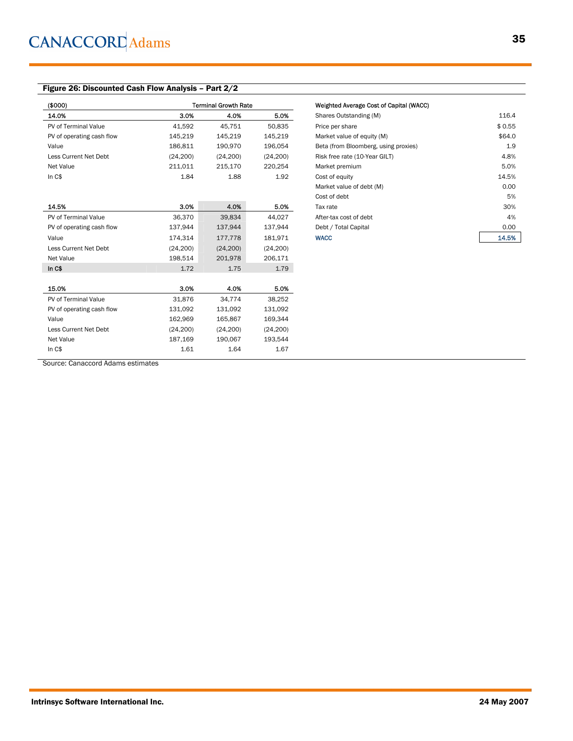### Figure 26: Discounted Cash Flow Analysis – Part 2/2

| (\$000)                   |           | <b>Terminal Growth Rate</b> |           | Weighted Average Cost of Capital (WACC) |        |
|---------------------------|-----------|-----------------------------|-----------|-----------------------------------------|--------|
| 14.0%                     | 3.0%      | 4.0%                        | 5.0%      | Shares Outstanding (M)                  | 116.4  |
| PV of Terminal Value      | 41,592    | 45.751                      | 50,835    | Price per share                         | \$0.55 |
| PV of operating cash flow | 145,219   | 145,219                     | 145,219   | Market value of equity (M)              | \$64.0 |
| Value                     | 186,811   | 190,970                     | 196,054   | Beta (from Bloomberg, using proxies)    | 1.9    |
| Less Current Net Debt     | (24, 200) | (24, 200)                   | (24, 200) | Risk free rate (10-Year GILT)           | 4.8%   |
| Net Value                 | 211,011   | 215,170                     | 220,254   | Market premium                          | 5.0%   |
| In $C$$                   | 1.84      | 1.88                        | 1.92      | Cost of equity                          | 14.5%  |
|                           |           |                             |           | Market value of debt (M)                | 0.00   |
|                           |           |                             |           | Cost of debt                            | 5%     |
| 14.5%                     | 3.0%      | 4.0%                        | 5.0%      | Tax rate                                | 30%    |
| PV of Terminal Value      | 36,370    | 39,834                      | 44,027    | After-tax cost of debt                  | 4%     |
| PV of operating cash flow | 137,944   | 137,944                     | 137,944   | Debt / Total Capital                    | 0.00   |
| Value                     | 174,314   | 177,778                     | 181,971   | <b>WACC</b>                             | 14.5%  |
| Less Current Net Debt     | (24, 200) | (24, 200)                   | (24, 200) |                                         |        |
| Net Value                 | 198,514   | 201,978                     | 206,171   |                                         |        |
| In $C$$                   | 1.72      | 1.75                        | 1.79      |                                         |        |
|                           |           |                             |           |                                         |        |
| 15.0%                     | 3.0%      | 4.0%                        | 5.0%      |                                         |        |
| PV of Terminal Value      | 31,876    | 34,774                      | 38,252    |                                         |        |
| PV of operating cash flow | 131,092   | 131,092                     | 131,092   |                                         |        |
| Value                     | 162,969   | 165,867                     | 169,344   |                                         |        |
| Less Current Net Debt     | (24, 200) | (24, 200)                   | (24, 200) |                                         |        |
| Net Value                 | 187,169   | 190,067                     | 193,544   |                                         |        |
| In $C$$                   | 1.61      | 1.64                        | 1.67      |                                         |        |

| Weighted Average Cost of Capital (WACC) |        |
|-----------------------------------------|--------|
| Shares Outstanding (M)                  | 116.4  |
| Price per share                         | \$0.55 |
| Market value of equity (M)              | \$64.0 |
| Beta (from Bloomberg, using proxies)    | 1.9    |
| Risk free rate (10-Year GILT)           | 4.8%   |
| Market premium                          | 5.0%   |
| Cost of equity                          | 14.5%  |
| Market value of debt (M)                | 0.00   |
| Cost of debt                            | 5%     |
| Tax rate                                | 30%    |
| After-tax cost of debt                  | 4%     |
| Debt / Total Capital                    | 0.00   |
| <b>WACC</b>                             | 14.5%  |

Source: Canaccord Adams estimates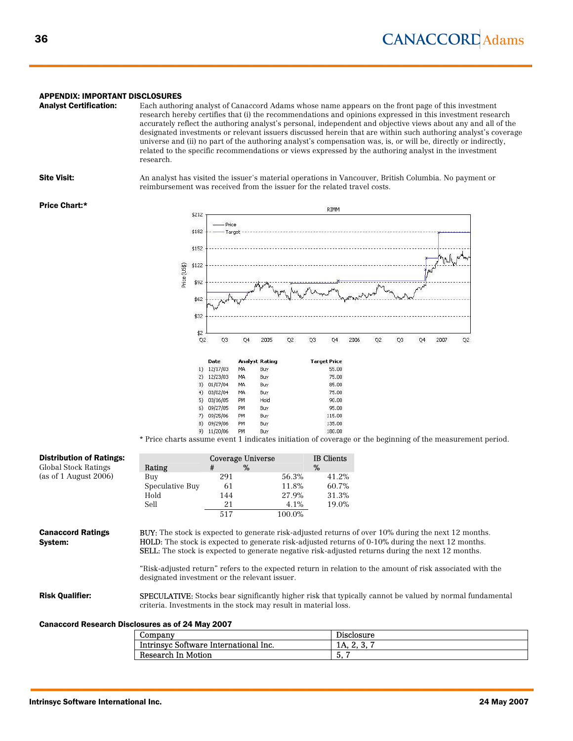#### APPENDIX: IMPORTANT DISCLOSURES

Analyst Certification: Each authoring analyst of Canaccord Adams whose name appears on the front page of this investment research hereby certifies that (i) the recommendations and opinions expressed in this investment research accurately reflect the authoring analyst's personal, independent and objective views about any and all of the designated investments or relevant issuers discussed herein that are within such authoring analyst's coverage universe and (ii) no part of the authoring analyst's compensation was, is, or will be, directly or indirectly, related to the specific recommendations or views expressed by the authoring analyst in the investment research.

**Site Visit:** An analyst has visited the issuer's material operations in Vancouver, British Columbia. No payment or reimbursement was received from the issuer for the related travel costs.

#### Price Chart:\*

![](_page_35_Figure_6.jpeg)

\* Price charts assume event 1 indicates initiation of coverage or the beginning of the measurement period.

| <b>Distribution of Ratings:</b>                  |                 | <b>Coverage Universe</b>                                        |        | <b>IB</b> Clients |                                                                                                                                                                                                                                                                                                                                                                                                                                           |
|--------------------------------------------------|-----------------|-----------------------------------------------------------------|--------|-------------------|-------------------------------------------------------------------------------------------------------------------------------------------------------------------------------------------------------------------------------------------------------------------------------------------------------------------------------------------------------------------------------------------------------------------------------------------|
| Global Stock Ratings                             | Rating          | %<br>#                                                          |        | %                 |                                                                                                                                                                                                                                                                                                                                                                                                                                           |
| (as of 1 August 2006)                            | Buy             | 291                                                             | 56.3%  | 41.2%             |                                                                                                                                                                                                                                                                                                                                                                                                                                           |
|                                                  | Speculative Buy | 61                                                              | 11.8%  | 60.7%             |                                                                                                                                                                                                                                                                                                                                                                                                                                           |
|                                                  | Hold            | 144                                                             | 27.9%  | 31.3%             |                                                                                                                                                                                                                                                                                                                                                                                                                                           |
|                                                  | Sell            | 21                                                              | 4.1%   | 19.0%             |                                                                                                                                                                                                                                                                                                                                                                                                                                           |
|                                                  |                 | 517                                                             | 100.0% |                   |                                                                                                                                                                                                                                                                                                                                                                                                                                           |
| <b>Canaccord Ratings</b><br>System:              |                 | designated investment or the relevant issuer.                   |        |                   | <b>BUY:</b> The stock is expected to generate risk-adjusted returns of over 10% during the next 12 months.<br>HOLD: The stock is expected to generate risk-adjusted returns of 0-10% during the next 12 months.<br><b>SELL:</b> The stock is expected to generate negative risk-adjusted returns during the next 12 months.<br>"Risk-adjusted return" refers to the expected return in relation to the amount of risk associated with the |
| <b>Risk Qualifier:</b>                           |                 | criteria. Investments in the stock may result in material loss. |        |                   | <b>SPECULATIVE:</b> Stocks bear significantly higher risk that typically cannot be valued by normal fundamental                                                                                                                                                                                                                                                                                                                           |
| Canaccord Research Disclosures as of 24 May 2007 |                 |                                                                 |        |                   |                                                                                                                                                                                                                                                                                                                                                                                                                                           |
|                                                  | Company         |                                                                 |        |                   | Disclosure                                                                                                                                                                                                                                                                                                                                                                                                                                |
|                                                  |                 | Intrinsyc Software International Inc.                           |        |                   | 1A, 2, 3, 7                                                                                                                                                                                                                                                                                                                                                                                                                               |

Research In Motion 5, 7

| <b>Intrinsvc Software International Inc.</b> | 24 May 2007 |
|----------------------------------------------|-------------|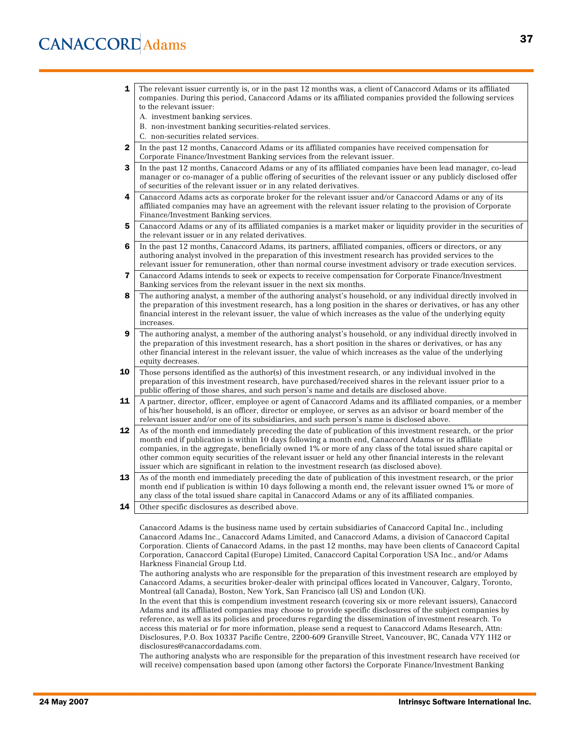# **CANACCORD** Adams

- **1** The relevant issuer currently is, or in the past 12 months was, a client of Canaccord Adams or its affiliated companies. During this period, Canaccord Adams or its affiliated companies provided the following services to the relevant issuer:
	- A. investment banking services.
	- B. non-investment banking securities-related services.
	- C. non-securities related services.
- **2** In the past 12 months, Canaccord Adams or its affiliated companies have received compensation for Corporate Finance/Investment Banking services from the relevant issuer.
- **3** In the past 12 months, Canaccord Adams or any of its affiliated companies have been lead manager, co-lead manager or co-manager of a public offering of securities of the relevant issuer or any publicly disclosed offer of securities of the relevant issuer or in any related derivatives.
- 4 Canaccord Adams acts as corporate broker for the relevant issuer and/or Canaccord Adams or any of its affiliated companies may have an agreement with the relevant issuer relating to the provision of Corporate Finance/Investment Banking services.
- 5 Canaccord Adams or any of its affiliated companies is a market maker or liquidity provider in the securities of the relevant issuer or in any related derivatives.
- 6 In the past 12 months, Canaccord Adams, its partners, affiliated companies, officers or directors, or any authoring analyst involved in the preparation of this investment research has provided services to the relevant issuer for remuneration, other than normal course investment advisory or trade execution services.
- 7 Canaccord Adams intends to seek or expects to receive compensation for Corporate Finance/Investment Banking services from the relevant issuer in the next six months.
- 8 The authoring analyst, a member of the authoring analyst's household, or any individual directly involved in the preparation of this investment research, has a long position in the shares or derivatives, or has any other financial interest in the relevant issuer, the value of which increases as the value of the underlying equity increases.
- 9 The authoring analyst, a member of the authoring analyst's household, or any individual directly involved in the preparation of this investment research, has a short position in the shares or derivatives, or has any other financial interest in the relevant issuer, the value of which increases as the value of the underlying equity decreases.
- **10** Those persons identified as the author(s) of this investment research, or any individual involved in the preparation of this investment research, have purchased/received shares in the relevant issuer prior to a public offering of those shares, and such person's name and details are disclosed above.
- 11 A partner, director, officer, employee or agent of Canaccord Adams and its affiliated companies, or a member of his/her household, is an officer, director or employee, or serves as an advisor or board member of the relevant issuer and/or one of its subsidiaries, and such person's name is disclosed above.
- 12 As of the month end immediately preceding the date of publication of this investment research, or the prior month end if publication is within 10 days following a month end, Canaccord Adams or its affiliate companies, in the aggregate, beneficially owned 1% or more of any class of the total issued share capital or other common equity securities of the relevant issuer or held any other financial interests in the relevant issuer which are significant in relation to the investment research (as disclosed above).
- 13 As of the month end immediately preceding the date of publication of this investment research, or the prior month end if publication is within 10 days following a month end, the relevant issuer owned 1% or more of any class of the total issued share capital in Canaccord Adams or any of its affiliated companies.
- **14** Other specific disclosures as described above.

Canaccord Adams is the business name used by certain subsidiaries of Canaccord Capital Inc., including Canaccord Adams Inc., Canaccord Adams Limited, and Canaccord Adams, a division of Canaccord Capital Corporation. Clients of Canaccord Adams, in the past 12 months, may have been clients of Canaccord Capital Corporation, Canaccord Capital (Europe) Limited, Canaccord Capital Corporation USA Inc., and/or Adams Harkness Financial Group Ltd.

The authoring analysts who are responsible for the preparation of this investment research are employed by Canaccord Adams, a securities broker-dealer with principal offices located in Vancouver, Calgary, Toronto, Montreal (all Canada), Boston, New York, San Francisco (all US) and London (UK).

In the event that this is compendium investment research (covering six or more relevant issuers), Canaccord Adams and its affiliated companies may choose to provide specific disclosures of the subject companies by reference, as well as its policies and procedures regarding the dissemination of investment research. To access this material or for more information, please send a request to Canaccord Adams Research, Attn: Disclosures, P.O. Box 10337 Pacific Centre, 2200-609 Granville Street, Vancouver, BC, Canada V7Y 1H2 or disclosures@canaccordadams.com.

The authoring analysts who are responsible for the preparation of this investment research have received (or will receive) compensation based upon (among other factors) the Corporate Finance/Investment Banking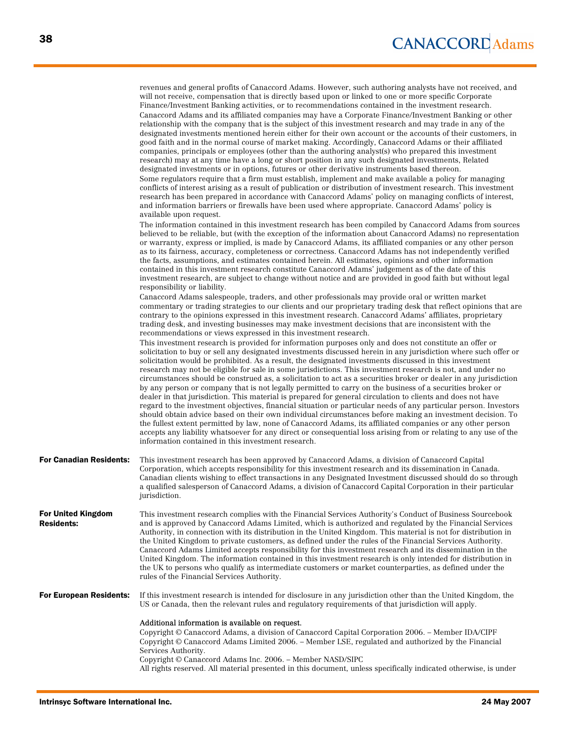|                                                | revenues and general profits of Canaccord Adams. However, such authoring analysts have not received, and<br>will not receive, compensation that is directly based upon or linked to one or more specific Corporate<br>Finance/Investment Banking activities, or to recommendations contained in the investment research.<br>Canaccord Adams and its affiliated companies may have a Corporate Finance/Investment Banking or other<br>relationship with the company that is the subject of this investment research and may trade in any of the<br>designated investments mentioned herein either for their own account or the accounts of their customers, in<br>good faith and in the normal course of market making. Accordingly, Canaccord Adams or their affiliated<br>companies, principals or employees (other than the authoring analyst(s) who prepared this investment<br>research) may at any time have a long or short position in any such designated investments, Related<br>designated investments or in options, futures or other derivative instruments based thereon.<br>Some regulators require that a firm must establish, implement and make available a policy for managing<br>conflicts of interest arising as a result of publication or distribution of investment research. This investment<br>research has been prepared in accordance with Canaccord Adams' policy on managing conflicts of interest,<br>and information barriers or firewalls have been used where appropriate. Canaccord Adams' policy is<br>available upon request.<br>The information contained in this investment research has been compiled by Canaccord Adams from sources<br>believed to be reliable, but (with the exception of the information about Canaccord Adams) no representation<br>or warranty, express or implied, is made by Canaccord Adams, its affiliated companies or any other person<br>as to its fairness, accuracy, completeness or correctness. Canaccord Adams has not independently verified<br>the facts, assumptions, and estimates contained herein. All estimates, opinions and other information<br>contained in this investment research constitute Canaccord Adams' judgement as of the date of this<br>investment research, are subject to change without notice and are provided in good faith but without legal<br>responsibility or liability.<br>Canaccord Adams salespeople, traders, and other professionals may provide oral or written market<br>commentary or trading strategies to our clients and our proprietary trading desk that reflect opinions that are<br>contrary to the opinions expressed in this investment research. Canaccord Adams' affiliates, proprietary<br>trading desk, and investing businesses may make investment decisions that are inconsistent with the<br>recommendations or views expressed in this investment research.<br>This investment research is provided for information purposes only and does not constitute an offer or<br>solicitation to buy or sell any designated investments discussed herein in any jurisdiction where such offer or<br>solicitation would be prohibited. As a result, the designated investments discussed in this investment<br>research may not be eligible for sale in some jurisdictions. This investment research is not, and under no<br>circumstances should be construed as, a solicitation to act as a securities broker or dealer in any jurisdiction<br>by any person or company that is not legally permitted to carry on the business of a securities broker or<br>dealer in that jurisdiction. This material is prepared for general circulation to clients and does not have<br>regard to the investment objectives, financial situation or particular needs of any particular person. Investors<br>should obtain advice based on their own individual circumstances before making an investment decision. To<br>the fullest extent permitted by law, none of Canaccord Adams, its affiliated companies or any other person<br>accepts any liability whatsoever for any direct or consequential loss arising from or relating to any use of the |
|------------------------------------------------|--------------------------------------------------------------------------------------------------------------------------------------------------------------------------------------------------------------------------------------------------------------------------------------------------------------------------------------------------------------------------------------------------------------------------------------------------------------------------------------------------------------------------------------------------------------------------------------------------------------------------------------------------------------------------------------------------------------------------------------------------------------------------------------------------------------------------------------------------------------------------------------------------------------------------------------------------------------------------------------------------------------------------------------------------------------------------------------------------------------------------------------------------------------------------------------------------------------------------------------------------------------------------------------------------------------------------------------------------------------------------------------------------------------------------------------------------------------------------------------------------------------------------------------------------------------------------------------------------------------------------------------------------------------------------------------------------------------------------------------------------------------------------------------------------------------------------------------------------------------------------------------------------------------------------------------------------------------------------------------------------------------------------------------------------------------------------------------------------------------------------------------------------------------------------------------------------------------------------------------------------------------------------------------------------------------------------------------------------------------------------------------------------------------------------------------------------------------------------------------------------------------------------------------------------------------------------------------------------------------------------------------------------------------------------------------------------------------------------------------------------------------------------------------------------------------------------------------------------------------------------------------------------------------------------------------------------------------------------------------------------------------------------------------------------------------------------------------------------------------------------------------------------------------------------------------------------------------------------------------------------------------------------------------------------------------------------------------------------------------------------------------------------------------------------------------------------------------------------------------------------------------------------------------------------------------------------------------------------------------------------------------------------------------------------------------------------------------------------------------------------------------------------------------------------------------------------------------------------------------------------------------------------------------------------------------------------------------------------------------------------------------------------------------------------------------------------------------------------------------------------------------------------------------------------|
| <b>For Canadian Residents:</b>                 | information contained in this investment research.<br>This investment research has been approved by Canaccord Adams, a division of Canaccord Capital<br>Corporation, which accepts responsibility for this investment research and its dissemination in Canada.<br>Canadian clients wishing to effect transactions in any Designated Investment discussed should do so through<br>a qualified salesperson of Canaccord Adams, a division of Canaccord Capital Corporation in their particular<br>jurisdiction.                                                                                                                                                                                                                                                                                                                                                                                                                                                                                                                                                                                                                                                                                                                                                                                                                                                                                                                                                                                                                                                                                                                                                                                                                                                                                                                                                                                                                                                                                                                                                                                                                                                                                                                                                                                                                                                                                                                                                                                                                                                                                                                                                                                                                                                                                                                                                                                                                                                                                                                                                                                                                                                                                                                                                                                                                                                                                                                                                                                                                                                                                                                                                                                                                                                                                                                                                                                                                                                                                                                                                                                                                                                           |
| <b>For United Kingdom</b><br><b>Residents:</b> | This investment research complies with the Financial Services Authority's Conduct of Business Sourcebook<br>and is approved by Canaccord Adams Limited, which is authorized and regulated by the Financial Services<br>Authority, in connection with its distribution in the United Kingdom. This material is not for distribution in<br>the United Kingdom to private customers, as defined under the rules of the Financial Services Authority.<br>Canaccord Adams Limited accepts responsibility for this investment research and its dissemination in the<br>United Kingdom. The information contained in this investment research is only intended for distribution in<br>the UK to persons who qualify as intermediate customers or market counterparties, as defined under the<br>rules of the Financial Services Authority.                                                                                                                                                                                                                                                                                                                                                                                                                                                                                                                                                                                                                                                                                                                                                                                                                                                                                                                                                                                                                                                                                                                                                                                                                                                                                                                                                                                                                                                                                                                                                                                                                                                                                                                                                                                                                                                                                                                                                                                                                                                                                                                                                                                                                                                                                                                                                                                                                                                                                                                                                                                                                                                                                                                                                                                                                                                                                                                                                                                                                                                                                                                                                                                                                                                                                                                                      |
| <b>For European Residents:</b>                 | If this investment research is intended for disclosure in any jurisdiction other than the United Kingdom, the<br>US or Canada, then the relevant rules and regulatory requirements of that jurisdiction will apply.                                                                                                                                                                                                                                                                                                                                                                                                                                                                                                                                                                                                                                                                                                                                                                                                                                                                                                                                                                                                                                                                                                                                                                                                                                                                                                                                                                                                                                                                                                                                                                                                                                                                                                                                                                                                                                                                                                                                                                                                                                                                                                                                                                                                                                                                                                                                                                                                                                                                                                                                                                                                                                                                                                                                                                                                                                                                                                                                                                                                                                                                                                                                                                                                                                                                                                                                                                                                                                                                                                                                                                                                                                                                                                                                                                                                                                                                                                                                                      |
|                                                | Additional information is available on request.<br>Copyright © Canaccord Adams, a division of Canaccord Capital Corporation 2006. - Member IDA/CIPF<br>Copyright © Canaccord Adams Limited 2006. – Member LSE, regulated and authorized by the Financial<br>Services Authority.<br>Copyright © Canaccord Adams Inc. 2006. - Member NASD/SIPC<br>All rights reserved. All material presented in this document, unless specifically indicated otherwise, is under                                                                                                                                                                                                                                                                                                                                                                                                                                                                                                                                                                                                                                                                                                                                                                                                                                                                                                                                                                                                                                                                                                                                                                                                                                                                                                                                                                                                                                                                                                                                                                                                                                                                                                                                                                                                                                                                                                                                                                                                                                                                                                                                                                                                                                                                                                                                                                                                                                                                                                                                                                                                                                                                                                                                                                                                                                                                                                                                                                                                                                                                                                                                                                                                                                                                                                                                                                                                                                                                                                                                                                                                                                                                                                          |
|                                                |                                                                                                                                                                                                                                                                                                                                                                                                                                                                                                                                                                                                                                                                                                                                                                                                                                                                                                                                                                                                                                                                                                                                                                                                                                                                                                                                                                                                                                                                                                                                                                                                                                                                                                                                                                                                                                                                                                                                                                                                                                                                                                                                                                                                                                                                                                                                                                                                                                                                                                                                                                                                                                                                                                                                                                                                                                                                                                                                                                                                                                                                                                                                                                                                                                                                                                                                                                                                                                                                                                                                                                                                                                                                                                                                                                                                                                                                                                                                                                                                                                                                                                                                                                          |